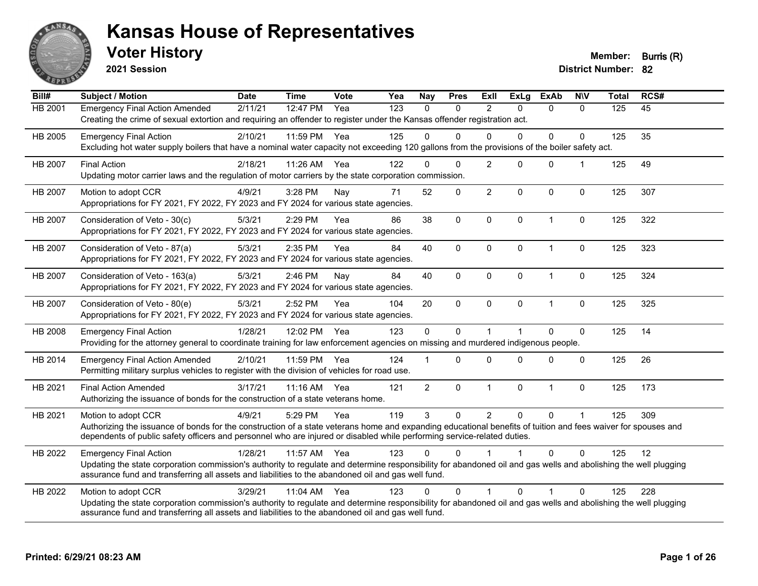

**2021 Session**

**Voter History Member: Burris (R)** 

| Bill#          | Subject / Motion                                                                                                                                                                                                                                                                                                | <b>Date</b> | <b>Time</b> | <b>Vote</b> | Yea | <b>Nay</b>     | <b>Pres</b>  | Exll           | <b>ExLg</b>          | <b>ExAb</b>    | <b>NIV</b>   | <b>Total</b> | RCS# |
|----------------|-----------------------------------------------------------------------------------------------------------------------------------------------------------------------------------------------------------------------------------------------------------------------------------------------------------------|-------------|-------------|-------------|-----|----------------|--------------|----------------|----------------------|----------------|--------------|--------------|------|
| HB 2001        | <b>Emergency Final Action Amended</b><br>Creating the crime of sexual extortion and requiring an offender to register under the Kansas offender registration act.                                                                                                                                               | 2/11/21     | 12:47 PM    | Yea         | 123 | $\mathbf{0}$   | $\Omega$     | $\overline{2}$ | $\Omega$             | $\mathbf{0}$   | $\mathbf{0}$ | 125          | 45   |
| HB 2005        | <b>Emergency Final Action</b><br>Excluding hot water supply boilers that have a nominal water capacity not exceeding 120 gallons from the provisions of the boiler safety act.                                                                                                                                  | 2/10/21     | 11:59 PM    | Yea         | 125 | $\Omega$       | $\Omega$     | $\Omega$       | $\Omega$             | 0              | $\Omega$     | 125          | 35   |
| <b>HB 2007</b> | <b>Final Action</b><br>Updating motor carrier laws and the regulation of motor carriers by the state corporation commission.                                                                                                                                                                                    | 2/18/21     | 11:26 AM    | Yea         | 122 | $\Omega$       | $\Omega$     | $\overline{2}$ | $\Omega$             | $\mathbf{0}$   |              | 125          | 49   |
| <b>HB 2007</b> | Motion to adopt CCR<br>Appropriations for FY 2021, FY 2022, FY 2023 and FY 2024 for various state agencies.                                                                                                                                                                                                     | 4/9/21      | 3:28 PM     | Nay         | 71  | 52             | $\mathbf 0$  | $\overline{c}$ | 0                    | $\mathbf 0$    | $\mathbf 0$  | 125          | 307  |
| HB 2007        | Consideration of Veto - 30(c)<br>Appropriations for FY 2021, FY 2022, FY 2023 and FY 2024 for various state agencies.                                                                                                                                                                                           | 5/3/21      | 2:29 PM     | Yea         | 86  | 38             | $\mathbf 0$  | $\mathbf 0$    | $\mathbf{0}$         | $\overline{1}$ | $\mathbf 0$  | 125          | 322  |
| <b>HB 2007</b> | Consideration of Veto - 87(a)<br>Appropriations for FY 2021, FY 2022, FY 2023 and FY 2024 for various state agencies.                                                                                                                                                                                           | 5/3/21      | 2:35 PM     | Yea         | 84  | 40             | $\mathbf{0}$ | $\Omega$       | $\Omega$             | $\overline{1}$ | 0            | 125          | 323  |
| HB 2007        | Consideration of Veto - 163(a)<br>Appropriations for FY 2021, FY 2022, FY 2023 and FY 2024 for various state agencies.                                                                                                                                                                                          | 5/3/21      | 2:46 PM     | Nay         | 84  | 40             | $\mathbf 0$  | $\mathbf 0$    | 0                    | $\mathbf{1}$   | $\pmb{0}$    | 125          | 324  |
| HB 2007        | Consideration of Veto - 80(e)<br>Appropriations for FY 2021, FY 2022, FY 2023 and FY 2024 for various state agencies.                                                                                                                                                                                           | 5/3/21      | 2:52 PM     | Yea         | 104 | 20             | $\mathbf 0$  | $\Omega$       | $\Omega$             | $\overline{1}$ | $\mathbf 0$  | 125          | 325  |
| HB 2008        | <b>Emergency Final Action</b><br>Providing for the attorney general to coordinate training for law enforcement agencies on missing and murdered indigenous people.                                                                                                                                              | 1/28/21     | 12:02 PM    | Yea         | 123 | $\mathbf 0$    | $\Omega$     | $\overline{1}$ | $\blacktriangleleft$ | $\Omega$       | $\mathbf 0$  | 125          | 14   |
| HB 2014        | <b>Emergency Final Action Amended</b><br>Permitting military surplus vehicles to register with the division of vehicles for road use.                                                                                                                                                                           | 2/10/21     | 11:59 PM    | Yea         | 124 |                | $\Omega$     | $\Omega$       | $\Omega$             | $\Omega$       | $\Omega$     | 125          | 26   |
| HB 2021        | <b>Final Action Amended</b><br>Authorizing the issuance of bonds for the construction of a state veterans home.                                                                                                                                                                                                 | 3/17/21     | 11:16 AM    | Yea         | 121 | $\overline{2}$ | $\mathbf 0$  | $\mathbf{1}$   | 0                    | $\mathbf{1}$   | $\mathbf 0$  | 125          | 173  |
| HB 2021        | Motion to adopt CCR<br>Authorizing the issuance of bonds for the construction of a state veterans home and expanding educational benefits of tuition and fees waiver for spouses and<br>dependents of public safety officers and personnel who are injured or disabled while performing service-related duties. | 4/9/21      | 5:29 PM     | Yea         | 119 | 3              | $\Omega$     | $\overline{2}$ | $\Omega$             | $\Omega$       |              | 125          | 309  |
| HB 2022        | <b>Emergency Final Action</b><br>Updating the state corporation commission's authority to regulate and determine responsibility for abandoned oil and gas wells and abolishing the well plugging<br>assurance fund and transferring all assets and liabilities to the abandoned oil and gas well fund.          | 1/28/21     | 11:57 AM    | Yea         | 123 | $\Omega$       | $\Omega$     |                |                      | $\Omega$       | $\Omega$     | 125          | 12   |
| HB 2022        | Motion to adopt CCR<br>Updating the state corporation commission's authority to regulate and determine responsibility for abandoned oil and gas wells and abolishing the well plugging<br>assurance fund and transferring all assets and liabilities to the abandoned oil and gas well fund.                    | 3/29/21     | 11:04 AM    | Yea         | 123 | $\Omega$       | $\Omega$     | 1              | $\Omega$             | 1              | $\Omega$     | 125          | 228  |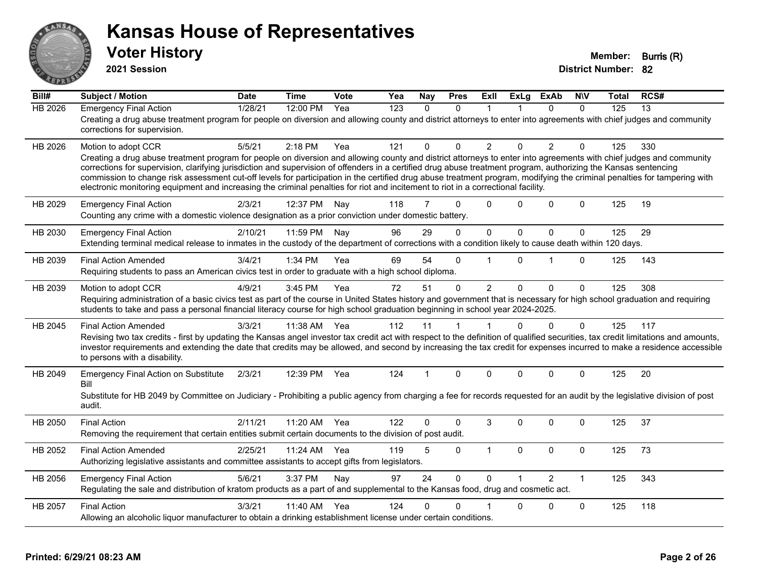

**2021 Session**

| Bill#          | <b>Subject / Motion</b>                                                                                                                                                                                                                                                                                                                                                                                                                                                                                                                                                                                                                                                         | <b>Date</b> | <b>Time</b> | Vote | Yea              | Nay          | <b>Pres</b>  | ExIl           | <b>ExLg</b>  | <b>ExAb</b>    | <b>NIV</b>   | Total | RCS#            |
|----------------|---------------------------------------------------------------------------------------------------------------------------------------------------------------------------------------------------------------------------------------------------------------------------------------------------------------------------------------------------------------------------------------------------------------------------------------------------------------------------------------------------------------------------------------------------------------------------------------------------------------------------------------------------------------------------------|-------------|-------------|------|------------------|--------------|--------------|----------------|--------------|----------------|--------------|-------|-----------------|
| <b>HB 2026</b> | <b>Emergency Final Action</b><br>Creating a drug abuse treatment program for people on diversion and allowing county and district attorneys to enter into agreements with chief judges and community<br>corrections for supervision.                                                                                                                                                                                                                                                                                                                                                                                                                                            | 1/28/21     | 12:00 PM    | Yea  | $\overline{123}$ | $\mathbf{0}$ | $\Omega$     | 1              |              | $\Omega$       | $\Omega$     | 125   | $\overline{13}$ |
| HB 2026        | Motion to adopt CCR<br>Creating a drug abuse treatment program for people on diversion and allowing county and district attorneys to enter into agreements with chief judges and community<br>corrections for supervision, clarifying jurisdiction and supervision of offenders in a certified drug abuse treatment program, authorizing the Kansas sentencing<br>commission to change risk assessment cut-off levels for participation in the certified drug abuse treatment program, modifying the criminal penalties for tampering with<br>electronic monitoring equipment and increasing the criminal penalties for riot and incitement to riot in a correctional facility. | 5/5/21      | $2:18$ PM   | Yea  | 121              | 0            | $\Omega$     | $\overline{2}$ | $\Omega$     | $\overline{2}$ | $\Omega$     | 125   | 330             |
| HB 2029        | <b>Emergency Final Action</b><br>Counting any crime with a domestic violence designation as a prior conviction under domestic battery.                                                                                                                                                                                                                                                                                                                                                                                                                                                                                                                                          | 2/3/21      | 12:37 PM    | Nav  | 118              | 7            | $\Omega$     | $\Omega$       | 0            | $\Omega$       | $\Omega$     | 125   | 19              |
| HB 2030        | <b>Emergency Final Action</b><br>Extending terminal medical release to inmates in the custody of the department of corrections with a condition likely to cause death within 120 days.                                                                                                                                                                                                                                                                                                                                                                                                                                                                                          | 2/10/21     | 11:59 PM    | Nay  | 96               | 29           | $\Omega$     | $\mathbf{0}$   | $\mathbf{0}$ | $\Omega$       | $\mathbf 0$  | 125   | 29              |
| HB 2039        | <b>Final Action Amended</b><br>Requiring students to pass an American civics test in order to graduate with a high school diploma.                                                                                                                                                                                                                                                                                                                                                                                                                                                                                                                                              | 3/4/21      | 1:34 PM     | Yea  | 69               | 54           | $\Omega$     | $\overline{1}$ | $\Omega$     | 1              | $\Omega$     | 125   | 143             |
| HB 2039        | Motion to adopt CCR<br>Requiring administration of a basic civics test as part of the course in United States history and government that is necessary for high school graduation and requiring<br>students to take and pass a personal financial literacy course for high school graduation beginning in school year 2024-2025.                                                                                                                                                                                                                                                                                                                                                | 4/9/21      | 3:45 PM     | Yea  | 72               | 51           | $\mathbf{0}$ | $\overline{2}$ | $\Omega$     | $\Omega$       | $\mathbf{0}$ | 125   | 308             |
| HB 2045        | <b>Final Action Amended</b><br>Revising two tax credits - first by updating the Kansas angel investor tax credit act with respect to the definition of qualified securities, tax credit limitations and amounts,<br>investor requirements and extending the date that credits may be allowed, and second by increasing the tax credit for expenses incurred to make a residence accessible<br>to persons with a disability.                                                                                                                                                                                                                                                     | 3/3/21      | 11:38 AM    | Yea  | 112              | 11           | $\mathbf{1}$ | $\mathbf{1}$   | $\Omega$     | $\Omega$       | $\mathbf{0}$ | 125   | 117             |
| HB 2049        | <b>Emergency Final Action on Substitute</b><br>Bill<br>Substitute for HB 2049 by Committee on Judiciary - Prohibiting a public agency from charging a fee for records requested for an audit by the legislative division of post<br>audit.                                                                                                                                                                                                                                                                                                                                                                                                                                      | 2/3/21      | 12:39 PM    | Yea  | 124              | 1            | $\mathbf{0}$ | $\Omega$       | $\Omega$     | $\Omega$       | $\mathbf{0}$ | 125   | 20              |
| HB 2050        | <b>Final Action</b><br>Removing the requirement that certain entities submit certain documents to the division of post audit.                                                                                                                                                                                                                                                                                                                                                                                                                                                                                                                                                   | 2/11/21     | 11:20 AM    | Yea  | 122              | 0            | $\Omega$     | 3              | $\Omega$     | $\Omega$       | $\Omega$     | 125   | 37              |
| HB 2052        | <b>Final Action Amended</b><br>Authorizing legislative assistants and committee assistants to accept gifts from legislators.                                                                                                                                                                                                                                                                                                                                                                                                                                                                                                                                                    | 2/25/21     | 11:24 AM    | Yea  | 119              | 5            | $\mathbf 0$  | $\mathbf{1}$   | $\mathbf{0}$ | $\Omega$       | $\mathbf 0$  | 125   | 73              |
| HB 2056        | <b>Emergency Final Action</b><br>Regulating the sale and distribution of kratom products as a part of and supplemental to the Kansas food, drug and cosmetic act.                                                                                                                                                                                                                                                                                                                                                                                                                                                                                                               | 5/6/21      | 3:37 PM     | Nay  | 97               | 24           | $\Omega$     | $\Omega$       |              | $\mathcal{P}$  | $\mathbf{1}$ | 125   | 343             |
| HB 2057        | <b>Final Action</b><br>Allowing an alcoholic liquor manufacturer to obtain a drinking establishment license under certain conditions.                                                                                                                                                                                                                                                                                                                                                                                                                                                                                                                                           | 3/3/21      | 11:40 AM    | Yea  | 124              | 0            | 0            |                | 0            | 0              | $\mathbf 0$  | 125   | 118             |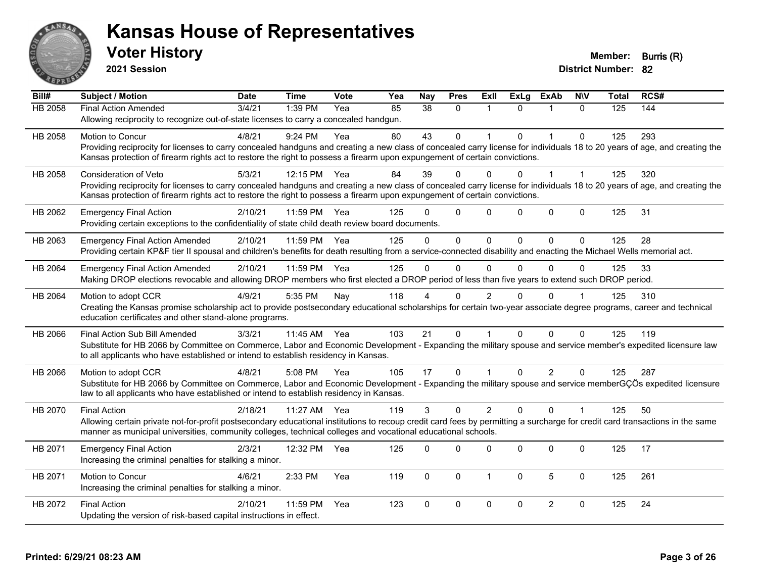

**2021 Session**

| Bill#          | <b>Subject / Motion</b>                                                                                                                                                      | <b>Date</b> | <b>Time</b>  | <b>Vote</b> | Yea | <b>Nay</b>    | <b>Pres</b>  | ExII           | <b>ExLg</b> | <b>ExAb</b>          | <b>NIV</b>   | <b>Total</b> | RCS# |
|----------------|------------------------------------------------------------------------------------------------------------------------------------------------------------------------------|-------------|--------------|-------------|-----|---------------|--------------|----------------|-------------|----------------------|--------------|--------------|------|
| <b>HB 2058</b> | <b>Final Action Amended</b>                                                                                                                                                  | 3/4/21      | 1:39 PM      | Yea         | 85  | 38            | $\Omega$     |                | $\Omega$    |                      | $\Omega$     | 125          | 144  |
|                | Allowing reciprocity to recognize out-of-state licenses to carry a concealed handgun.                                                                                        |             |              |             |     |               |              |                |             |                      |              |              |      |
| HB 2058        | Motion to Concur                                                                                                                                                             | 4/8/21      | 9:24 PM      | Yea         | 80  | 43            | $\mathbf 0$  |                | $\Omega$    | $\blacktriangleleft$ | $\mathbf 0$  | 125          | 293  |
|                | Providing reciprocity for licenses to carry concealed handguns and creating a new class of concealed carry license for individuals 18 to 20 years of age, and creating the   |             |              |             |     |               |              |                |             |                      |              |              |      |
|                | Kansas protection of firearm rights act to restore the right to possess a firearm upon expungement of certain convictions.                                                   |             |              |             |     |               |              |                |             |                      |              |              |      |
| HB 2058        | <b>Consideration of Veto</b>                                                                                                                                                 | 5/3/21      | 12:15 PM     | Yea         | 84  | 39            | $\Omega$     | 0              | 0           |                      |              | 125          | 320  |
|                | Providing reciprocity for licenses to carry concealed handguns and creating a new class of concealed carry license for individuals 18 to 20 years of age, and creating the   |             |              |             |     |               |              |                |             |                      |              |              |      |
|                | Kansas protection of firearm rights act to restore the right to possess a firearm upon expungement of certain convictions.                                                   |             |              |             |     |               |              |                |             |                      |              |              |      |
| HB 2062        | <b>Emergency Final Action</b>                                                                                                                                                | 2/10/21     | 11:59 PM     | Yea         | 125 | U             | $\mathbf 0$  | $\Omega$       | $\Omega$    | $\pmb{0}$            | $\mathbf 0$  | 125          | 31   |
|                | Providing certain exceptions to the confidentiality of state child death review board documents.                                                                             |             |              |             |     |               |              |                |             |                      |              |              |      |
| HB 2063        | <b>Emergency Final Action Amended</b>                                                                                                                                        | 2/10/21     | 11:59 PM     | Yea         | 125 | $\Omega$      | $\mathbf{0}$ | $\Omega$       | $\Omega$    | $\Omega$             | $\Omega$     | 125          | 28   |
|                | Providing certain KP&F tier II spousal and children's benefits for death resulting from a service-connected disability and enacting the Michael Wells memorial act.          |             |              |             |     |               |              |                |             |                      |              |              |      |
| HB 2064        | <b>Emergency Final Action Amended</b>                                                                                                                                        | 2/10/21     | 11:59 PM     | Yea         | 125 | $\Omega$      | $\mathbf{0}$ | $\mathbf 0$    | $\Omega$    | $\Omega$             | $\Omega$     | 125          | 33   |
|                | Making DROP elections revocable and allowing DROP members who first elected a DROP period of less than five years to extend such DROP period.                                |             |              |             |     |               |              |                |             |                      |              |              |      |
| HB 2064        | Motion to adopt CCR                                                                                                                                                          | 4/9/21      | 5:35 PM      | Nay         | 118 |               | $\Omega$     | $\overline{c}$ |             | $\Omega$             |              | 125          | 310  |
|                | Creating the Kansas promise scholarship act to provide postsecondary educational scholarships for certain two-year associate degree programs, career and technical           |             |              |             |     |               |              |                |             |                      |              |              |      |
|                | education certificates and other stand-alone programs.                                                                                                                       |             |              |             |     |               |              |                |             |                      |              |              |      |
| HB 2066        | Final Action Sub Bill Amended                                                                                                                                                | 3/3/21      | 11:45 AM Yea |             | 103 | 21            | $\mathbf 0$  |                | $\Omega$    | $\Omega$             | $\Omega$     | 125          | 119  |
|                | Substitute for HB 2066 by Committee on Commerce, Labor and Economic Development - Expanding the military spouse and service member's expedited licensure law                 |             |              |             |     |               |              |                |             |                      |              |              |      |
|                | to all applicants who have established or intend to establish residency in Kansas.                                                                                           |             |              |             |     |               |              |                |             |                      |              |              |      |
| HB 2066        | Motion to adopt CCR                                                                                                                                                          | 4/8/21      | 5:08 PM      | Yea         | 105 | 17            | $\Omega$     |                | $\Omega$    | $\overline{2}$       | $\Omega$     | 125          | 287  |
|                | Substitute for HB 2066 by Committee on Commerce, Labor and Economic Development - Expanding the military spouse and service memberGÇÖs expedited licensure                   |             |              |             |     |               |              |                |             |                      |              |              |      |
|                | law to all applicants who have established or intend to establish residency in Kansas.                                                                                       |             |              |             |     |               |              |                |             |                      |              |              |      |
| HB 2070        | <b>Final Action</b>                                                                                                                                                          | 2/18/21     | 11:27 AM     | Yea         | 119 | $\mathcal{S}$ | $\Omega$     | 2              | $\Omega$    | $\Omega$             | $\mathbf{1}$ | 125          | 50   |
|                | Allowing certain private not-for-profit postsecondary educational institutions to recoup credit card fees by permitting a surcharge for credit card transactions in the same |             |              |             |     |               |              |                |             |                      |              |              |      |
|                | manner as municipal universities, community colleges, technical colleges and vocational educational schools.                                                                 |             |              |             |     |               |              |                |             |                      |              |              |      |
| HB 2071        | <b>Emergency Final Action</b>                                                                                                                                                | 2/3/21      | 12:32 PM     | Yea         | 125 | $\Omega$      | $\Omega$     | $\Omega$       | $\Omega$    | $\Omega$             | $\mathbf{0}$ | 125          | 17   |
|                | Increasing the criminal penalties for stalking a minor.                                                                                                                      |             |              |             |     |               |              |                |             |                      |              |              |      |
| HB 2071        | Motion to Concur                                                                                                                                                             | 4/6/21      | 2:33 PM      | Yea         | 119 | $\mathbf 0$   | $\mathbf 0$  | $\overline{1}$ | $\mathbf 0$ | 5                    | $\mathbf 0$  | 125          | 261  |
|                | Increasing the criminal penalties for stalking a minor.                                                                                                                      |             |              |             |     |               |              |                |             |                      |              |              |      |
| HB 2072        | <b>Final Action</b>                                                                                                                                                          | 2/10/21     | 11:59 PM     | Yea         | 123 | $\Omega$      | $\pmb{0}$    | $\mathbf 0$    | $\Omega$    | $\overline{2}$       | $\mathbf 0$  | 125          | 24   |
|                | Updating the version of risk-based capital instructions in effect.                                                                                                           |             |              |             |     |               |              |                |             |                      |              |              |      |
|                |                                                                                                                                                                              |             |              |             |     |               |              |                |             |                      |              |              |      |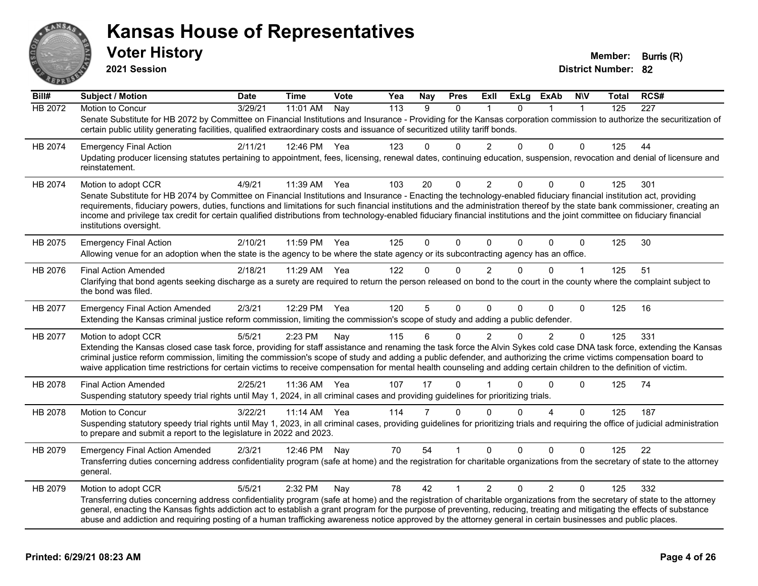

**2021 Session**

**Voter History Member: Burris (R)** 

| Bill#   | Subject / Motion                                                                                                                                                                                                                                                                                                                                                                       | <b>Date</b> | <b>Time</b> | Vote | Yea              | <b>Nay</b>   | <b>Pres</b>    | ExII           | ExLg     | ExAb           | <b>NIV</b>           | Total | RCS# |
|---------|----------------------------------------------------------------------------------------------------------------------------------------------------------------------------------------------------------------------------------------------------------------------------------------------------------------------------------------------------------------------------------------|-------------|-------------|------|------------------|--------------|----------------|----------------|----------|----------------|----------------------|-------|------|
| HB 2072 | Motion to Concur                                                                                                                                                                                                                                                                                                                                                                       | 3/29/21     | 11:01 AM    | Nay  | $\overline{113}$ | 9            | $\Omega$       |                | $\Omega$ | 1              | $\blacktriangleleft$ | 125   | 227  |
|         | Senate Substitute for HB 2072 by Committee on Financial Institutions and Insurance - Providing for the Kansas corporation commission to authorize the securitization of<br>certain public utility generating facilities, qualified extraordinary costs and issuance of securitized utility tariff bonds.                                                                               |             |             |      |                  |              |                |                |          |                |                      |       |      |
| HB 2074 | <b>Emergency Final Action</b>                                                                                                                                                                                                                                                                                                                                                          | 2/11/21     | 12:46 PM    | Yea  | 123              | 0            | $\Omega$       | 2              | 0        | $\Omega$       | $\Omega$             | 125   | 44   |
|         | Updating producer licensing statutes pertaining to appointment, fees, licensing, renewal dates, continuing education, suspension, revocation and denial of licensure and<br>reinstatement.                                                                                                                                                                                             |             |             |      |                  |              |                |                |          |                |                      |       |      |
| HB 2074 | Motion to adopt CCR                                                                                                                                                                                                                                                                                                                                                                    | 4/9/21      | 11:39 AM    | Yea  | 103              | 20           | 0              | $\overline{c}$ | 0        | $\Omega$       | 0                    | 125   | 301  |
|         | Senate Substitute for HB 2074 by Committee on Financial Institutions and Insurance - Enacting the technology-enabled fiduciary financial institution act, providing                                                                                                                                                                                                                    |             |             |      |                  |              |                |                |          |                |                      |       |      |
|         | requirements, fiduciary powers, duties, functions and limitations for such financial institutions and the administration thereof by the state bank commissioner, creating an<br>income and privilege tax credit for certain qualified distributions from technology-enabled fiduciary financial institutions and the joint committee on fiduciary financial<br>institutions oversight. |             |             |      |                  |              |                |                |          |                |                      |       |      |
| HB 2075 | <b>Emergency Final Action</b>                                                                                                                                                                                                                                                                                                                                                          | 2/10/21     | 11:59 PM    | Yea  | 125              | $\Omega$     | $\Omega$       | $\Omega$       | $\Omega$ | $\Omega$       | $\mathbf{0}$         | 125   | 30   |
|         | Allowing venue for an adoption when the state is the agency to be where the state agency or its subcontracting agency has an office.                                                                                                                                                                                                                                                   |             |             |      |                  |              |                |                |          |                |                      |       |      |
| HB 2076 | <b>Final Action Amended</b>                                                                                                                                                                                                                                                                                                                                                            | 2/18/21     | 11:29 AM    | Yea  | 122              | $\mathbf{0}$ | $\Omega$       | $\overline{2}$ | $\Omega$ | $\Omega$       | $\mathbf{1}$         | 125   | 51   |
|         | Clarifying that bond agents seeking discharge as a surety are required to return the person released on bond to the court in the county where the complaint subject to<br>the bond was filed.                                                                                                                                                                                          |             |             |      |                  |              |                |                |          |                |                      |       |      |
| HB 2077 | <b>Emergency Final Action Amended</b>                                                                                                                                                                                                                                                                                                                                                  | 2/3/21      | 12:29 PM    | Yea  | 120              | 5            | $\Omega$       | $\Omega$       | $\Omega$ | $\Omega$       | $\Omega$             | 125   | 16   |
|         | Extending the Kansas criminal justice reform commission, limiting the commission's scope of study and adding a public defender.                                                                                                                                                                                                                                                        |             |             |      |                  |              |                |                |          |                |                      |       |      |
| HB 2077 | Motion to adopt CCR                                                                                                                                                                                                                                                                                                                                                                    | 5/5/21      | 2:23 PM     | Nay  | 115              | 6            | $\mathbf{0}$   | $\overline{2}$ | $\Omega$ | $\overline{2}$ | $\Omega$             | 125   | 331  |
|         | Extending the Kansas closed case task force, providing for staff assistance and renaming the task force the Alvin Sykes cold case DNA task force, extending the Kansas                                                                                                                                                                                                                 |             |             |      |                  |              |                |                |          |                |                      |       |      |
|         | criminal justice reform commission, limiting the commission's scope of study and adding a public defender, and authorizing the crime victims compensation board to<br>waive application time restrictions for certain victims to receive compensation for mental health counseling and adding certain children to the definition of victim.                                            |             |             |      |                  |              |                |                |          |                |                      |       |      |
| HB 2078 | <b>Final Action Amended</b>                                                                                                                                                                                                                                                                                                                                                            | 2/25/21     | 11:36 AM    | Yea  | 107              | 17           | $\mathbf{0}$   |                | 0        | $\Omega$       | 0                    | 125   | 74   |
|         | Suspending statutory speedy trial rights until May 1, 2024, in all criminal cases and providing guidelines for prioritizing trials.                                                                                                                                                                                                                                                    |             |             |      |                  |              |                |                |          |                |                      |       |      |
| HB 2078 | <b>Motion to Concur</b>                                                                                                                                                                                                                                                                                                                                                                | 3/22/21     | 11:14 AM    | Yea  | 114              | 7            | $\Omega$       | $\Omega$       | $\Omega$ | 4              | $\Omega$             | 125   | 187  |
|         | Suspending statutory speedy trial rights until May 1, 2023, in all criminal cases, providing guidelines for prioritizing trials and requiring the office of judicial administration<br>to prepare and submit a report to the legislature in 2022 and 2023.                                                                                                                             |             |             |      |                  |              |                |                |          |                |                      |       |      |
| HB 2079 | <b>Emergency Final Action Amended</b>                                                                                                                                                                                                                                                                                                                                                  | 2/3/21      | 12:46 PM    | Nay  | 70               | 54           |                | $\Omega$       | $\Omega$ | $\Omega$       | 0                    | 125   | 22   |
|         | Transferring duties concerning address confidentiality program (safe at home) and the registration for charitable organizations from the secretary of state to the attorney<br>general.                                                                                                                                                                                                |             |             |      |                  |              |                |                |          |                |                      |       |      |
| HB 2079 | Motion to adopt CCR                                                                                                                                                                                                                                                                                                                                                                    | 5/5/21      | 2:32 PM     | Nay  | 78               | 42           | $\overline{1}$ | $\overline{2}$ | $\Omega$ | $\overline{2}$ | $\Omega$             | 125   | 332  |
|         | Transferring duties concerning address confidentiality program (safe at home) and the registration of charitable organizations from the secretary of state to the attorney                                                                                                                                                                                                             |             |             |      |                  |              |                |                |          |                |                      |       |      |
|         | general, enacting the Kansas fights addiction act to establish a grant program for the purpose of preventing, reducing, treating and mitigating the effects of substance<br>abuse and addiction and requiring posting of a human trafficking awareness notice approved by the attorney general in certain businesses and public places.                                                |             |             |      |                  |              |                |                |          |                |                      |       |      |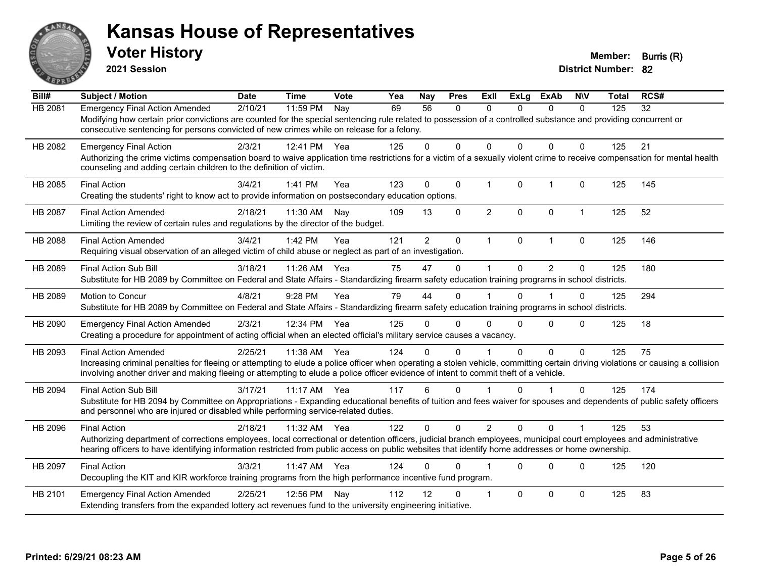

**2021 Session**

| Bill#          | <b>Subject / Motion</b>                                                                                                                                                                                                                                                                                                                                | <b>Date</b> | <b>Time</b> | Vote | Yea | Nay            | <b>Pres</b>  | <b>ExII</b>    | <b>ExLg</b> | <b>ExAb</b>    | <b>NIV</b>   | <b>Total</b> | RCS# |
|----------------|--------------------------------------------------------------------------------------------------------------------------------------------------------------------------------------------------------------------------------------------------------------------------------------------------------------------------------------------------------|-------------|-------------|------|-----|----------------|--------------|----------------|-------------|----------------|--------------|--------------|------|
| HB 2081        | <b>Emergency Final Action Amended</b><br>Modifying how certain prior convictions are counted for the special sentencing rule related to possession of a controlled substance and providing concurrent or<br>consecutive sentencing for persons convicted of new crimes while on release for a felony.                                                  | 2/10/21     | 11:59 PM    | Nay  | 69  | 56             | 0            | $\mathbf{0}$   | 0           | $\mathbf{0}$   | 0            | 125          | 32   |
| HB 2082        | <b>Emergency Final Action</b><br>Authorizing the crime victims compensation board to waive application time restrictions for a victim of a sexually violent crime to receive compensation for mental health<br>counseling and adding certain children to the definition of victim.                                                                     | 2/3/21      | 12:41 PM    | Yea  | 125 | 0              | 0            | 0              | 0           | $\Omega$       | 0            | 125          | 21   |
| HB 2085        | <b>Final Action</b><br>Creating the students' right to know act to provide information on postsecondary education options.                                                                                                                                                                                                                             | 3/4/21      | 1:41 PM     | Yea  | 123 | $\Omega$       | $\mathbf{0}$ | $\overline{1}$ | $\Omega$    | $\overline{1}$ | $\Omega$     | 125          | 145  |
| HB 2087        | <b>Final Action Amended</b><br>Limiting the review of certain rules and regulations by the director of the budget.                                                                                                                                                                                                                                     | 2/18/21     | 11:30 AM    | Nay  | 109 | 13             | 0            | $\overline{2}$ | $\mathbf 0$ | $\mathbf 0$    | $\mathbf{1}$ | 125          | 52   |
| <b>HB 2088</b> | <b>Final Action Amended</b><br>Requiring visual observation of an alleged victim of child abuse or neglect as part of an investigation.                                                                                                                                                                                                                | 3/4/21      | 1:42 PM     | Yea  | 121 | $\overline{2}$ | $\mathbf 0$  | $\mathbf 1$    | $\mathbf 0$ | $\mathbf{1}$   | $\mathbf 0$  | 125          | 146  |
| HB 2089        | Final Action Sub Bill<br>Substitute for HB 2089 by Committee on Federal and State Affairs - Standardizing firearm safety education training programs in school districts.                                                                                                                                                                              | 3/18/21     | 11:26 AM    | Yea  | 75  | 47             | $\mathbf 0$  |                | $\Omega$    | $\overline{2}$ | $\Omega$     | 125          | 180  |
| HB 2089        | Motion to Concur<br>Substitute for HB 2089 by Committee on Federal and State Affairs - Standardizing firearm safety education training programs in school districts.                                                                                                                                                                                   | 4/8/21      | 9:28 PM     | Yea  | 79  | 44             | $\Omega$     |                | $\Omega$    | 1              | $\Omega$     | 125          | 294  |
| HB 2090        | <b>Emergency Final Action Amended</b><br>Creating a procedure for appointment of acting official when an elected official's military service causes a vacancy.                                                                                                                                                                                         | 2/3/21      | 12:34 PM    | Yea  | 125 | 0              | $\Omega$     | $\Omega$       | 0           | $\Omega$       | $\Omega$     | 125          | 18   |
| HB 2093        | <b>Final Action Amended</b><br>Increasing criminal penalties for fleeing or attempting to elude a police officer when operating a stolen vehicle, committing certain driving violations or causing a collision<br>involving another driver and making fleeing or attempting to elude a police officer evidence of intent to commit theft of a vehicle. | 2/25/21     | 11:38 AM    | Yea  | 124 | 0              | $\Omega$     |                | $\Omega$    | $\Omega$       | $\Omega$     | 125          | 75   |
| HB 2094        | <b>Final Action Sub Bill</b><br>Substitute for HB 2094 by Committee on Appropriations - Expanding educational benefits of tuition and fees waiver for spouses and dependents of public safety officers<br>and personnel who are injured or disabled while performing service-related duties.                                                           | 3/17/21     | $11:17$ AM  | Yea  | 117 | 6              | $\Omega$     |                | $\Omega$    |                | $\Omega$     | 125          | 174  |
| HB 2096        | <b>Final Action</b><br>Authorizing department of corrections employees, local correctional or detention officers, judicial branch employees, municipal court employees and administrative<br>hearing officers to have identifying information restricted from public access on public websites that identify home addresses or home ownership.         | 2/18/21     | 11:32 AM    | Yea  | 122 | $\Omega$       | $\Omega$     | $\overline{2}$ | $\Omega$    | $\Omega$       |              | 125          | 53   |
| HB 2097        | <b>Final Action</b><br>Decoupling the KIT and KIR workforce training programs from the high performance incentive fund program.                                                                                                                                                                                                                        | 3/3/21      | 11:47 AM    | Yea  | 124 | 0              | $\Omega$     |                | $\Omega$    | $\Omega$       | $\Omega$     | 125          | 120  |
| HB 2101        | <b>Emergency Final Action Amended</b><br>Extending transfers from the expanded lottery act revenues fund to the university engineering initiative.                                                                                                                                                                                                     | 2/25/21     | 12:56 PM    | Nay  | 112 | 12             | 0            |                | $\Omega$    | $\Omega$       | $\Omega$     | 125          | 83   |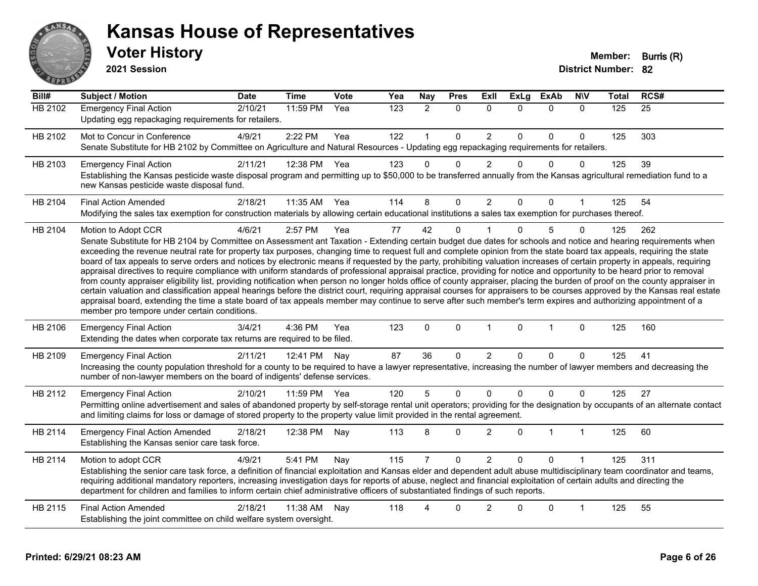

#### **Voter History Member: Burris (R) Kansas House of Representatives**

**2021 Session**

| $\overline{Bill#}$ | <b>Subject / Motion</b>                                                                                                                                                                                                                                                                                                                                                                                                                                                                                                                                                                                                                                                                                                                                                                                                                                                                                                                                                                                                                                                                                                                                                                                                                                                                                     | <b>Date</b> | <b>Time</b> | Vote | Yea | Nay            | <b>Pres</b>  | Exll           | <b>ExLg</b>  | <b>ExAb</b>  | <b>NIV</b>   | <b>Total</b> | RCS#            |
|--------------------|-------------------------------------------------------------------------------------------------------------------------------------------------------------------------------------------------------------------------------------------------------------------------------------------------------------------------------------------------------------------------------------------------------------------------------------------------------------------------------------------------------------------------------------------------------------------------------------------------------------------------------------------------------------------------------------------------------------------------------------------------------------------------------------------------------------------------------------------------------------------------------------------------------------------------------------------------------------------------------------------------------------------------------------------------------------------------------------------------------------------------------------------------------------------------------------------------------------------------------------------------------------------------------------------------------------|-------------|-------------|------|-----|----------------|--------------|----------------|--------------|--------------|--------------|--------------|-----------------|
| <b>HB 2102</b>     | <b>Emergency Final Action</b><br>Updating egg repackaging requirements for retailers.                                                                                                                                                                                                                                                                                                                                                                                                                                                                                                                                                                                                                                                                                                                                                                                                                                                                                                                                                                                                                                                                                                                                                                                                                       | 2/10/21     | 11:59 PM    | Yea  | 123 | $\overline{2}$ | $\mathbf{0}$ | $\mathbf{0}$   | $\Omega$     | $\mathbf{0}$ | $\mathbf{0}$ | 125          | $\overline{25}$ |
| HB 2102            | Mot to Concur in Conference<br>Senate Substitute for HB 2102 by Committee on Agriculture and Natural Resources - Updating egg repackaging requirements for retailers.                                                                                                                                                                                                                                                                                                                                                                                                                                                                                                                                                                                                                                                                                                                                                                                                                                                                                                                                                                                                                                                                                                                                       | 4/9/21      | 2:22 PM     | Yea  | 122 |                | $\mathbf 0$  | $\overline{c}$ | $\Omega$     | 0            | 0            | 125          | 303             |
| HB 2103            | <b>Emergency Final Action</b><br>Establishing the Kansas pesticide waste disposal program and permitting up to \$50,000 to be transferred annually from the Kansas agricultural remediation fund to a<br>new Kansas pesticide waste disposal fund.                                                                                                                                                                                                                                                                                                                                                                                                                                                                                                                                                                                                                                                                                                                                                                                                                                                                                                                                                                                                                                                          | 2/11/21     | 12:38 PM    | Yea  | 123 | $\Omega$       | $\Omega$     | $\overline{2}$ | $\Omega$     | $\Omega$     | $\mathbf{0}$ | 125          | 39              |
| HB 2104            | <b>Final Action Amended</b><br>Modifying the sales tax exemption for construction materials by allowing certain educational institutions a sales tax exemption for purchases thereof.                                                                                                                                                                                                                                                                                                                                                                                                                                                                                                                                                                                                                                                                                                                                                                                                                                                                                                                                                                                                                                                                                                                       | 2/18/21     | 11:35 AM    | Yea  | 114 | 8              | $\Omega$     | $\overline{2}$ | $\Omega$     | 0            |              | 125          | 54              |
| HB 2104            | Motion to Adopt CCR<br>Senate Substitute for HB 2104 by Committee on Assessment ant Taxation - Extending certain budget due dates for schools and notice and hearing requirements when<br>exceeding the revenue neutral rate for property tax purposes, changing time to request full and complete opinion from the state board tax appeals, requiring the state<br>board of tax appeals to serve orders and notices by electronic means if requested by the party, prohibiting valuation increases of certain property in appeals, requiring<br>appraisal directives to require compliance with uniform standards of professional appraisal practice, providing for notice and opportunity to be heard prior to removal<br>from county appraiser eligibility list, providing notification when person no longer holds office of county appraiser, placing the burden of proof on the county appraiser in<br>certain valuation and classification appeal hearings before the district court, requiring appraisal courses for appraisers to be courses approved by the Kansas real estate<br>appraisal board, extending the time a state board of tax appeals member may continue to serve after such member's term expires and authorizing appointment of a<br>member pro tempore under certain conditions. | 4/6/21      | 2:57 PM     | Yea  | 77  | 42             | $\mathbf{0}$ |                | $\Omega$     | 5            | 0            | 125          | 262             |
| HB 2106            | <b>Emergency Final Action</b><br>Extending the dates when corporate tax returns are required to be filed.                                                                                                                                                                                                                                                                                                                                                                                                                                                                                                                                                                                                                                                                                                                                                                                                                                                                                                                                                                                                                                                                                                                                                                                                   | 3/4/21      | 4:36 PM     | Yea  | 123 | $\mathbf 0$    | $\mathbf 0$  | $\mathbf{1}$   | $\mathbf{0}$ | $\mathbf{1}$ | $\mathbf 0$  | 125          | 160             |
| HB 2109            | <b>Emergency Final Action</b><br>Increasing the county population threshold for a county to be required to have a lawyer representative, increasing the number of lawyer members and decreasing the<br>number of non-lawyer members on the board of indigents' defense services.                                                                                                                                                                                                                                                                                                                                                                                                                                                                                                                                                                                                                                                                                                                                                                                                                                                                                                                                                                                                                            | 2/11/21     | 12:41 PM    | Nay  | 87  | 36             | $\mathbf 0$  | $\overline{c}$ | $\Omega$     | 0            | 0            | 125          | 41              |
| HB 2112            | <b>Emergency Final Action</b><br>Permitting online advertisement and sales of abandoned property by self-storage rental unit operators; providing for the designation by occupants of an alternate contact<br>and limiting claims for loss or damage of stored property to the property value limit provided in the rental agreement.                                                                                                                                                                                                                                                                                                                                                                                                                                                                                                                                                                                                                                                                                                                                                                                                                                                                                                                                                                       | 2/10/21     | 11:59 PM    | Yea  | 120 | 5              | $\mathbf 0$  | 0              | $\Omega$     | $\pmb{0}$    | 0            | 125          | 27              |
| HB 2114            | <b>Emergency Final Action Amended</b><br>Establishing the Kansas senior care task force.                                                                                                                                                                                                                                                                                                                                                                                                                                                                                                                                                                                                                                                                                                                                                                                                                                                                                                                                                                                                                                                                                                                                                                                                                    | 2/18/21     | 12:38 PM    | Nay  | 113 | 8              | $\Omega$     | $\overline{2}$ | $\Omega$     | 1            | $\mathbf{1}$ | 125          | 60              |
| HB 2114            | Motion to adopt CCR<br>Establishing the senior care task force, a definition of financial exploitation and Kansas elder and dependent adult abuse multidisciplinary team coordinator and teams,<br>requiring additional mandatory reporters, increasing investigation days for reports of abuse, neglect and financial exploitation of certain adults and directing the<br>department for children and families to inform certain chief administrative officers of substantiated findings of such reports.                                                                                                                                                                                                                                                                                                                                                                                                                                                                                                                                                                                                                                                                                                                                                                                                  | 4/9/21      | 5:41 PM     | Nay  | 115 |                | $\mathbf 0$  | $\overline{2}$ | $\Omega$     | $\mathbf 0$  |              | 125          | 311             |
| HB 2115            | <b>Final Action Amended</b><br>Establishing the joint committee on child welfare system oversight.                                                                                                                                                                                                                                                                                                                                                                                                                                                                                                                                                                                                                                                                                                                                                                                                                                                                                                                                                                                                                                                                                                                                                                                                          | 2/18/21     | 11:38 AM    | Nay  | 118 | Δ              | 0            | $\overline{2}$ | $\Omega$     | $\mathbf 0$  | 1            | 125          | 55              |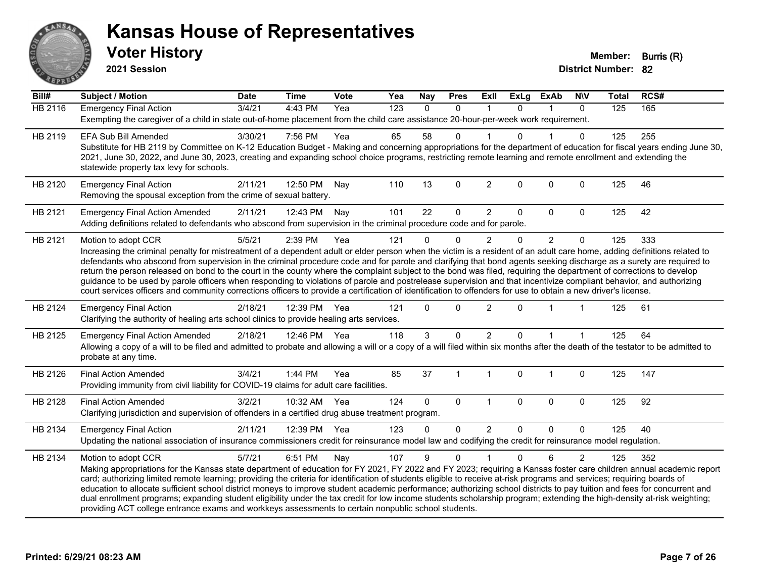

**2021 Session**

| Bill#          | Subject / Motion                                                                                                                                                                                                                                                                                                                           | <b>Date</b> | <b>Time</b>  | Vote | Yea | <b>Nay</b> | <b>Pres</b>    | Exll           | <b>ExLg</b>  | <b>ExAb</b>    | <b>NIV</b>     | <b>Total</b> | RCS# |  |
|----------------|--------------------------------------------------------------------------------------------------------------------------------------------------------------------------------------------------------------------------------------------------------------------------------------------------------------------------------------------|-------------|--------------|------|-----|------------|----------------|----------------|--------------|----------------|----------------|--------------|------|--|
| <b>HB 2116</b> | <b>Emergency Final Action</b>                                                                                                                                                                                                                                                                                                              | 3/4/21      | 4:43 PM      | Yea  | 123 | $\Omega$   | $\mathbf{0}$   | $\mathbf 1$    | $\Omega$     | 1              | $\mathbf{0}$   | 125          | 165  |  |
|                | Exempting the caregiver of a child in state out-of-home placement from the child care assistance 20-hour-per-week work requirement.                                                                                                                                                                                                        |             |              |      |     |            |                |                |              |                |                |              |      |  |
| HB 2119        | <b>EFA Sub Bill Amended</b>                                                                                                                                                                                                                                                                                                                | 3/30/21     | 7:56 PM      | Yea  | 65  | 58         | 0              |                | $\Omega$     |                | 0              | 125          | 255  |  |
|                | Substitute for HB 2119 by Committee on K-12 Education Budget - Making and concerning appropriations for the department of education for fiscal years ending June 30,                                                                                                                                                                       |             |              |      |     |            |                |                |              |                |                |              |      |  |
|                | 2021, June 30, 2022, and June 30, 2023, creating and expanding school choice programs, restricting remote learning and remote enrollment and extending the                                                                                                                                                                                 |             |              |      |     |            |                |                |              |                |                |              |      |  |
|                | statewide property tax levy for schools.                                                                                                                                                                                                                                                                                                   |             |              |      |     |            |                |                |              |                |                |              |      |  |
| HB 2120        | <b>Emergency Final Action</b>                                                                                                                                                                                                                                                                                                              | 2/11/21     | 12:50 PM     | Nay  | 110 | 13         | $\mathbf 0$    | $\overline{2}$ | $\Omega$     | 0              | $\mathbf 0$    | 125          | 46   |  |
|                | Removing the spousal exception from the crime of sexual battery.                                                                                                                                                                                                                                                                           |             |              |      |     |            |                |                |              |                |                |              |      |  |
| HB 2121        | <b>Emergency Final Action Amended</b>                                                                                                                                                                                                                                                                                                      | 2/11/21     | 12:43 PM     | Nav  | 101 | 22         | $\mathbf 0$    | $\overline{2}$ | 0            | $\Omega$       | $\Omega$       | 125          | 42   |  |
|                | Adding definitions related to defendants who abscond from supervision in the criminal procedure code and for parole.                                                                                                                                                                                                                       |             |              |      |     |            |                |                |              |                |                |              |      |  |
| HB 2121        | Motion to adopt CCR                                                                                                                                                                                                                                                                                                                        | 5/5/21      | 2:39 PM      | Yea  | 121 | $\Omega$   | $\Omega$       | 2              | 0            | $\overline{2}$ | $\Omega$       | 125          | 333  |  |
|                | Increasing the criminal penalty for mistreatment of a dependent adult or elder person when the victim is a resident of an adult care home, adding definitions related to                                                                                                                                                                   |             |              |      |     |            |                |                |              |                |                |              |      |  |
|                | defendants who abscond from supervision in the criminal procedure code and for parole and clarifying that bond agents seeking discharge as a surety are required to                                                                                                                                                                        |             |              |      |     |            |                |                |              |                |                |              |      |  |
|                | return the person released on bond to the court in the county where the complaint subject to the bond was filed, requiring the department of corrections to develop<br>guidance to be used by parole officers when responding to violations of parole and postrelease supervision and that incentivize compliant behavior, and authorizing |             |              |      |     |            |                |                |              |                |                |              |      |  |
|                | court services officers and community corrections officers to provide a certification of identification to offenders for use to obtain a new driver's license.                                                                                                                                                                             |             |              |      |     |            |                |                |              |                |                |              |      |  |
|                |                                                                                                                                                                                                                                                                                                                                            |             |              |      |     |            |                |                |              |                |                |              |      |  |
| HB 2124        | <b>Emergency Final Action</b><br>Clarifying the authority of healing arts school clinics to provide healing arts services.                                                                                                                                                                                                                 | 2/18/21     | 12:39 PM Yea |      | 121 | $\Omega$   | $\Omega$       | $\overline{2}$ | $\Omega$     |                |                | 125          | 61   |  |
|                |                                                                                                                                                                                                                                                                                                                                            |             |              |      |     |            |                |                |              |                |                |              |      |  |
| HB 2125        | <b>Emergency Final Action Amended</b>                                                                                                                                                                                                                                                                                                      | 2/18/21     | 12:46 PM Yea |      | 118 | 3          | $\Omega$       | $\overline{2}$ | $\Omega$     |                |                | 125          | 64   |  |
|                | Allowing a copy of a will to be filed and admitted to probate and allowing a will or a copy of a will filed within six months after the death of the testator to be admitted to<br>probate at any time.                                                                                                                                    |             |              |      |     |            |                |                |              |                |                |              |      |  |
|                |                                                                                                                                                                                                                                                                                                                                            |             |              |      |     |            |                |                |              |                |                |              |      |  |
| HB 2126        | <b>Final Action Amended</b>                                                                                                                                                                                                                                                                                                                | 3/4/21      | 1:44 PM      | Yea  | 85  | 37         | $\overline{1}$ | $\mathbf{1}$   | $\Omega$     | 1              | $\mathbf 0$    | 125          | 147  |  |
|                | Providing immunity from civil liability for COVID-19 claims for adult care facilities.                                                                                                                                                                                                                                                     |             |              |      |     |            |                |                |              |                |                |              |      |  |
| HB 2128        | <b>Final Action Amended</b>                                                                                                                                                                                                                                                                                                                | 3/2/21      | 10:32 AM Yea |      | 124 | $\Omega$   | $\mathbf 0$    | $\overline{1}$ | $\mathbf{0}$ | $\Omega$       | $\Omega$       | 125          | 92   |  |
|                | Clarifying jurisdiction and supervision of offenders in a certified drug abuse treatment program.                                                                                                                                                                                                                                          |             |              |      |     |            |                |                |              |                |                |              |      |  |
| HB 2134        | <b>Emergency Final Action</b>                                                                                                                                                                                                                                                                                                              | 2/11/21     | 12:39 PM     | Yea  | 123 | 0          | $\Omega$       | $\overline{2}$ | 0            | $\overline{0}$ | $\mathbf{0}$   | 125          | 40   |  |
|                | Updating the national association of insurance commissioners credit for reinsurance model law and codifying the credit for reinsurance model regulation.                                                                                                                                                                                   |             |              |      |     |            |                |                |              |                |                |              |      |  |
| HB 2134        | Motion to adopt CCR                                                                                                                                                                                                                                                                                                                        | 5/7/21      | 6:51 PM      | Nay  | 107 | 9          | $\Omega$       |                | $\Omega$     | 6              | $\overline{2}$ | 125          | 352  |  |
|                | Making appropriations for the Kansas state department of education for FY 2021, FY 2022 and FY 2023; requiring a Kansas foster care children annual academic report                                                                                                                                                                        |             |              |      |     |            |                |                |              |                |                |              |      |  |
|                | card; authorizing limited remote learning; providing the criteria for identification of students eligible to receive at-risk programs and services; requiring boards of                                                                                                                                                                    |             |              |      |     |            |                |                |              |                |                |              |      |  |
|                | education to allocate sufficient school district moneys to improve student academic performance; authorizing school districts to pay tuition and fees for concurrent and                                                                                                                                                                   |             |              |      |     |            |                |                |              |                |                |              |      |  |
|                | dual enrollment programs; expanding student eligibility under the tax credit for low income students scholarship program; extending the high-density at-risk weighting;<br>providing ACT college entrance exams and workkeys assessments to certain nonpublic school students.                                                             |             |              |      |     |            |                |                |              |                |                |              |      |  |
|                |                                                                                                                                                                                                                                                                                                                                            |             |              |      |     |            |                |                |              |                |                |              |      |  |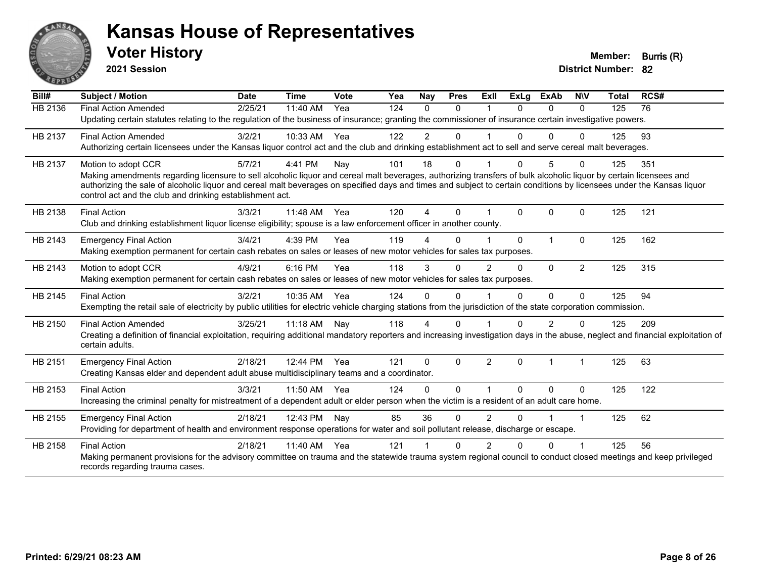

**2021 Session**

| Bill#          | <b>Subject / Motion</b>                                                                                                                                                                                                           | <b>Date</b> | <b>Time</b> | Vote | Yea | Nay            | <b>Pres</b>  | ExII           | <b>ExLg</b>  | <b>ExAb</b>    | <b>NIV</b>           | <b>Total</b> | RCS# |
|----------------|-----------------------------------------------------------------------------------------------------------------------------------------------------------------------------------------------------------------------------------|-------------|-------------|------|-----|----------------|--------------|----------------|--------------|----------------|----------------------|--------------|------|
| <b>HB 2136</b> | <b>Final Action Amended</b>                                                                                                                                                                                                       | 2/25/21     | 11:40 AM    | Yea  | 124 | $\Omega$       | $\Omega$     |                | $\Omega$     | $\Omega$       | $\Omega$             | 125          | 76   |
|                | Updating certain statutes relating to the regulation of the business of insurance; granting the commissioner of insurance certain investigative powers.                                                                           |             |             |      |     |                |              |                |              |                |                      |              |      |
| HB 2137        | <b>Final Action Amended</b>                                                                                                                                                                                                       | 3/2/21      | 10:33 AM    | Yea  | 122 | $\overline{2}$ | 0            |                | 0            | $\Omega$       | $\Omega$             | 125          | 93   |
|                | Authorizing certain licensees under the Kansas liquor control act and the club and drinking establishment act to sell and serve cereal malt beverages.                                                                            |             |             |      |     |                |              |                |              |                |                      |              |      |
| HB 2137        | Motion to adopt CCR                                                                                                                                                                                                               | 5/7/21      | 4:41 PM     | Nay  | 101 | 18             | $\Omega$     |                | $\Omega$     | 5              | $\Omega$             | 125          | 351  |
|                | Making amendments regarding licensure to sell alcoholic liquor and cereal malt beverages, authorizing transfers of bulk alcoholic liquor by certain licensees and                                                                 |             |             |      |     |                |              |                |              |                |                      |              |      |
|                | authorizing the sale of alcoholic liquor and cereal malt beverages on specified days and times and subject to certain conditions by licensees under the Kansas liquor<br>control act and the club and drinking establishment act. |             |             |      |     |                |              |                |              |                |                      |              |      |
|                |                                                                                                                                                                                                                                   |             |             |      |     |                |              |                |              |                |                      |              |      |
| HB 2138        | <b>Final Action</b>                                                                                                                                                                                                               | 3/3/21      | 11:48 AM    | Yea  | 120 | $\overline{A}$ | $\Omega$     |                | $\Omega$     | $\Omega$       | $\mathbf{0}$         | 125          | 121  |
|                | Club and drinking establishment liquor license eligibility; spouse is a law enforcement officer in another county.                                                                                                                |             |             |      |     |                |              |                |              |                |                      |              |      |
| HB 2143        | <b>Emergency Final Action</b>                                                                                                                                                                                                     | 3/4/21      | 4:39 PM     | Yea  | 119 |                | $\Omega$     |                | $\Omega$     | 1              | $\Omega$             | 125          | 162  |
|                | Making exemption permanent for certain cash rebates on sales or leases of new motor vehicles for sales tax purposes.                                                                                                              |             |             |      |     |                |              |                |              |                |                      |              |      |
| HB 2143        | Motion to adopt CCR                                                                                                                                                                                                               | 4/9/21      | 6:16 PM     | Yea  | 118 | 3              | $\Omega$     | $\overline{2}$ | $\Omega$     | $\Omega$       | $\overline{2}$       | 125          | 315  |
|                | Making exemption permanent for certain cash rebates on sales or leases of new motor vehicles for sales tax purposes.                                                                                                              |             |             |      |     |                |              |                |              |                |                      |              |      |
| HB 2145        | <b>Final Action</b>                                                                                                                                                                                                               | 3/2/21      | 10:35 AM    | Yea  | 124 | $\Omega$       | $\Omega$     |                | 0            | 0              | $\Omega$             | 125          | 94   |
|                | Exempting the retail sale of electricity by public utilities for electric vehicle charging stations from the jurisdiction of the state corporation commission.                                                                    |             |             |      |     |                |              |                |              |                |                      |              |      |
| HB 2150        | <b>Final Action Amended</b>                                                                                                                                                                                                       | 3/25/21     | $11:18$ AM  | Nav  | 118 | 4              | $\Omega$     |                | 0            | 2              | $\Omega$             | 125          | 209  |
|                | Creating a definition of financial exploitation, requiring additional mandatory reporters and increasing investigation days in the abuse, neglect and financial exploitation of                                                   |             |             |      |     |                |              |                |              |                |                      |              |      |
|                | certain adults.                                                                                                                                                                                                                   |             |             |      |     |                |              |                |              |                |                      |              |      |
| HB 2151        | <b>Emergency Final Action</b>                                                                                                                                                                                                     | 2/18/21     | 12:44 PM    | Yea  | 121 | $\Omega$       | $\mathbf{0}$ | 2              | $\mathbf{0}$ | $\overline{1}$ | $\blacktriangleleft$ | 125          | 63   |
|                | Creating Kansas elder and dependent adult abuse multidisciplinary teams and a coordinator.                                                                                                                                        |             |             |      |     |                |              |                |              |                |                      |              |      |
| HB 2153        | <b>Final Action</b>                                                                                                                                                                                                               | 3/3/21      | 11:50 AM    | Yea  | 124 | 0              | $\Omega$     |                | $\Omega$     | $\Omega$       | $\mathbf{0}$         | 125          | 122  |
|                | Increasing the criminal penalty for mistreatment of a dependent adult or elder person when the victim is a resident of an adult care home.                                                                                        |             |             |      |     |                |              |                |              |                |                      |              |      |
| HB 2155        | <b>Emergency Final Action</b>                                                                                                                                                                                                     | 2/18/21     | 12:43 PM    | Nay  | 85  | 36             | $\Omega$     | $\overline{2}$ | $\Omega$     |                | $\blacktriangleleft$ | 125          | 62   |
|                | Providing for department of health and environment response operations for water and soil pollutant release, discharge or escape.                                                                                                 |             |             |      |     |                |              |                |              |                |                      |              |      |
| HB 2158        | <b>Final Action</b>                                                                                                                                                                                                               | 2/18/21     | 11:40 AM    | Yea  | 121 |                | $\Omega$     | 2              | U            | $\Omega$       |                      | 125          | 56   |
|                | Making permanent provisions for the advisory committee on trauma and the statewide trauma system regional council to conduct closed meetings and keep privileged                                                                  |             |             |      |     |                |              |                |              |                |                      |              |      |
|                | records regarding trauma cases.                                                                                                                                                                                                   |             |             |      |     |                |              |                |              |                |                      |              |      |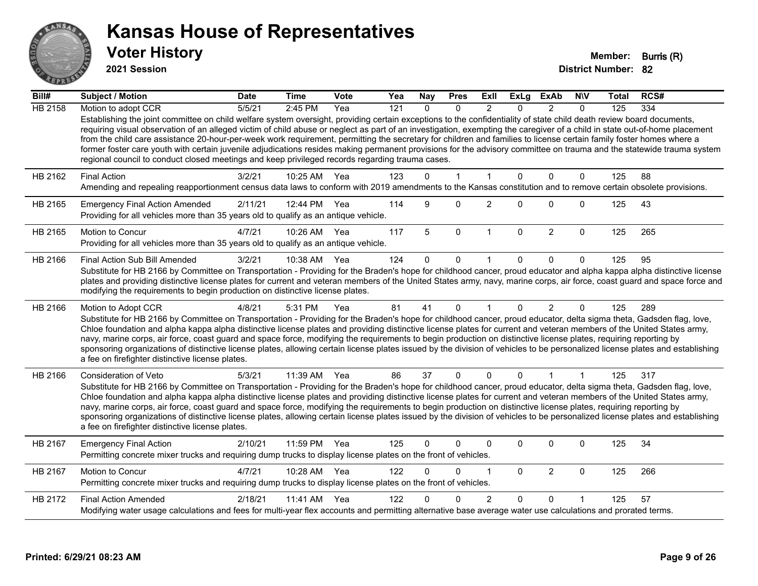

**2021 Session**

| Bill#          | <b>Subject / Motion</b>                                                                                                                                                                                                                                                                                                                                                                                                                                                                                                                                                                                                                                                                                                                                                                               | <b>Date</b> | <b>Time</b>  | Vote | Yea | <b>Nay</b> | <b>Pres</b>  | ExII           | <b>ExLg</b>  | <b>ExAb</b>    | <b>NIV</b>   | Total | RCS# |
|----------------|-------------------------------------------------------------------------------------------------------------------------------------------------------------------------------------------------------------------------------------------------------------------------------------------------------------------------------------------------------------------------------------------------------------------------------------------------------------------------------------------------------------------------------------------------------------------------------------------------------------------------------------------------------------------------------------------------------------------------------------------------------------------------------------------------------|-------------|--------------|------|-----|------------|--------------|----------------|--------------|----------------|--------------|-------|------|
| <b>HB 2158</b> | Motion to adopt CCR                                                                                                                                                                                                                                                                                                                                                                                                                                                                                                                                                                                                                                                                                                                                                                                   | 5/5/21      | 2:45 PM      | Yea  | 121 | $\Omega$   | $\Omega$     | $\mathfrak{p}$ | $\Omega$     | $\mathcal{P}$  | $\Omega$     | 125   | 334  |
|                | Establishing the joint committee on child welfare system oversight, providing certain exceptions to the confidentiality of state child death review board documents,<br>requiring visual observation of an alleged victim of child abuse or neglect as part of an investigation, exempting the caregiver of a child in state out-of-home placement<br>from the child care assistance 20-hour-per-week work requirement, permitting the secretary for children and families to license certain family foster homes where a<br>former foster care youth with certain juvenile adjudications resides making permanent provisions for the advisory committee on trauma and the statewide trauma system<br>regional council to conduct closed meetings and keep privileged records regarding trauma cases. |             |              |      |     |            |              |                |              |                |              |       |      |
| HB 2162        | <b>Final Action</b>                                                                                                                                                                                                                                                                                                                                                                                                                                                                                                                                                                                                                                                                                                                                                                                   | 3/2/21      | 10:25 AM     | Yea  | 123 | 0          | 1            |                | $\Omega$     | $\Omega$       | $\mathbf 0$  | 125   | 88   |
|                | Amending and repealing reapportionment census data laws to conform with 2019 amendments to the Kansas constitution and to remove certain obsolete provisions.                                                                                                                                                                                                                                                                                                                                                                                                                                                                                                                                                                                                                                         |             |              |      |     |            |              |                |              |                |              |       |      |
| HB 2165        | <b>Emergency Final Action Amended</b><br>Providing for all vehicles more than 35 years old to qualify as an antique vehicle.                                                                                                                                                                                                                                                                                                                                                                                                                                                                                                                                                                                                                                                                          | 2/11/21     | 12:44 PM Yea |      | 114 | 9          | $\Omega$     | $\overline{c}$ | $\Omega$     | 0              | $\mathbf 0$  | 125   | 43   |
| HB 2165        | Motion to Concur<br>Providing for all vehicles more than 35 years old to qualify as an antique vehicle.                                                                                                                                                                                                                                                                                                                                                                                                                                                                                                                                                                                                                                                                                               | 4/7/21      | 10:26 AM     | Yea  | 117 | 5          | $\mathbf 0$  | $\mathbf 1$    | $\mathbf{0}$ | $\overline{2}$ | $\Omega$     | 125   | 265  |
| HB 2166        | Final Action Sub Bill Amended                                                                                                                                                                                                                                                                                                                                                                                                                                                                                                                                                                                                                                                                                                                                                                         | 3/2/21      | 10:38 AM Yea |      | 124 | 0          | $\Omega$     |                | 0            | $\Omega$       | $\Omega$     | 125   | 95   |
|                | Substitute for HB 2166 by Committee on Transportation - Providing for the Braden's hope for childhood cancer, proud educator and alpha kappa alpha distinctive license<br>plates and providing distinctive license plates for current and veteran members of the United States army, navy, marine corps, air force, coast guard and space force and<br>modifying the requirements to begin production on distinctive license plates.                                                                                                                                                                                                                                                                                                                                                                  |             |              |      |     |            |              |                |              |                |              |       |      |
| HB 2166        | Motion to Adopt CCR                                                                                                                                                                                                                                                                                                                                                                                                                                                                                                                                                                                                                                                                                                                                                                                   | 4/8/21      | 5:31 PM      | Yea  | 81  | 41         | $\Omega$     | -1             | $\Omega$     | $\overline{2}$ | $\Omega$     | 125   | 289  |
|                | Substitute for HB 2166 by Committee on Transportation - Providing for the Braden's hope for childhood cancer, proud educator, delta sigma theta, Gadsden flag, love,<br>Chloe foundation and alpha kappa alpha distinctive license plates and providing distinctive license plates for current and veteran members of the United States army,<br>navy, marine corps, air force, coast guard and space force, modifying the requirements to begin production on distinctive license plates, requiring reporting by<br>sponsoring organizations of distinctive license plates, allowing certain license plates issued by the division of vehicles to be personalized license plates and establishing<br>a fee on firefighter distinctive license plates.                                                |             |              |      |     |            |              |                |              |                |              |       |      |
| HB 2166        | <b>Consideration of Veto</b>                                                                                                                                                                                                                                                                                                                                                                                                                                                                                                                                                                                                                                                                                                                                                                          | 5/3/21      | 11:39 AM     | Yea  | 86  | 37         | $\mathbf{0}$ | $\Omega$       | 0            | 1              | $\mathbf{1}$ | 125   | 317  |
|                | Substitute for HB 2166 by Committee on Transportation - Providing for the Braden's hope for childhood cancer, proud educator, delta sigma theta, Gadsden flag, love,<br>Chloe foundation and alpha kappa alpha distinctive license plates and providing distinctive license plates for current and veteran members of the United States army,<br>navy, marine corps, air force, coast guard and space force, modifying the requirements to begin production on distinctive license plates, requiring reporting by<br>sponsoring organizations of distinctive license plates, allowing certain license plates issued by the division of vehicles to be personalized license plates and establishing<br>a fee on firefighter distinctive license plates.                                                |             |              |      |     |            |              |                |              |                |              |       |      |
| HB 2167        | <b>Emergency Final Action</b><br>Permitting concrete mixer trucks and requiring dump trucks to display license plates on the front of vehicles.                                                                                                                                                                                                                                                                                                                                                                                                                                                                                                                                                                                                                                                       | 2/10/21     | 11:59 PM     | Yea  | 125 | 0          | 0            | 0              | 0            | 0              | $\mathbf 0$  | 125   | 34   |
| HB 2167        | Motion to Concur<br>Permitting concrete mixer trucks and requiring dump trucks to display license plates on the front of vehicles.                                                                                                                                                                                                                                                                                                                                                                                                                                                                                                                                                                                                                                                                    | 4/7/21      | 10:28 AM     | Yea  | 122 | $\Omega$   | $\mathbf{0}$ | 1              | $\Omega$     | $\overline{2}$ | $\mathbf 0$  | 125   | 266  |
| HB 2172        | <b>Final Action Amended</b>                                                                                                                                                                                                                                                                                                                                                                                                                                                                                                                                                                                                                                                                                                                                                                           | 2/18/21     | 11:41 AM     | Yea  | 122 |            | n            | 2              | 0            | $\Omega$       |              | 125   | 57   |
|                | Modifying water usage calculations and fees for multi-year flex accounts and permitting alternative base average water use calculations and prorated terms.                                                                                                                                                                                                                                                                                                                                                                                                                                                                                                                                                                                                                                           |             |              |      |     |            |              |                |              |                |              |       |      |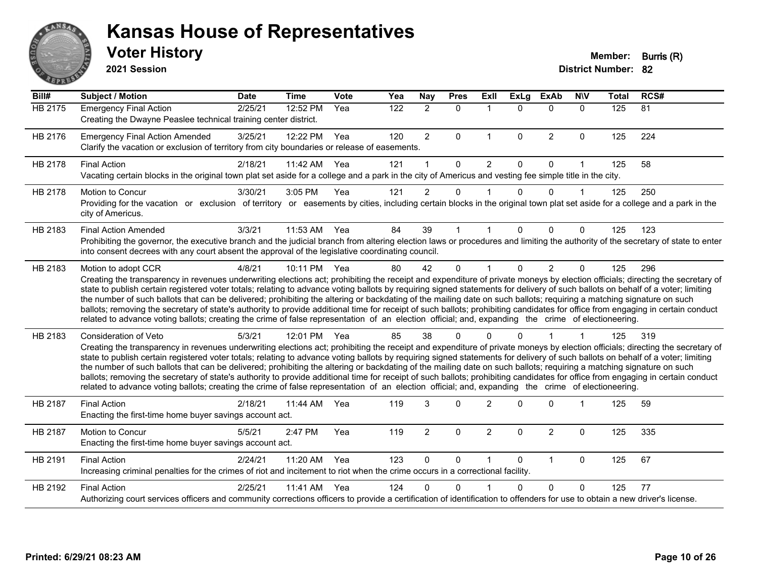

**2021 Session**

| Bill#   | <b>Subject / Motion</b>                                                                                                                                                                                                                                                                                                                                                                                                                                                                                                                                                                                                                                                                                                                                                                                                                                                                                           | <b>Date</b> | <b>Time</b>  | Vote | Yea | <b>Nay</b>     | <b>Pres</b>  | ExIl                 | <b>ExLg</b>  | <b>ExAb</b>    | <b>NIV</b>   | <b>Total</b> | RCS# |
|---------|-------------------------------------------------------------------------------------------------------------------------------------------------------------------------------------------------------------------------------------------------------------------------------------------------------------------------------------------------------------------------------------------------------------------------------------------------------------------------------------------------------------------------------------------------------------------------------------------------------------------------------------------------------------------------------------------------------------------------------------------------------------------------------------------------------------------------------------------------------------------------------------------------------------------|-------------|--------------|------|-----|----------------|--------------|----------------------|--------------|----------------|--------------|--------------|------|
| HB 2175 | <b>Emergency Final Action</b><br>Creating the Dwayne Peaslee technical training center district.                                                                                                                                                                                                                                                                                                                                                                                                                                                                                                                                                                                                                                                                                                                                                                                                                  | 2/25/21     | 12:52 PM     | Yea  | 122 | $\overline{2}$ | $\Omega$     | $\mathbf{1}$         | $\Omega$     | $\mathbf{0}$   | $\mathbf{0}$ | 125          | 81   |
| HB 2176 | <b>Emergency Final Action Amended</b><br>Clarify the vacation or exclusion of territory from city boundaries or release of easements.                                                                                                                                                                                                                                                                                                                                                                                                                                                                                                                                                                                                                                                                                                                                                                             | 3/25/21     | 12:22 PM     | Yea  | 120 | $\overline{2}$ | $\Omega$     | $\mathbf{1}$         | $\mathbf{0}$ | 2              | $\Omega$     | 125          | 224  |
| HB 2178 | <b>Final Action</b><br>Vacating certain blocks in the original town plat set aside for a college and a park in the city of Americus and vesting fee simple title in the city.                                                                                                                                                                                                                                                                                                                                                                                                                                                                                                                                                                                                                                                                                                                                     | 2/18/21     | 11:42 AM     | Yea  | 121 |                | $\Omega$     | $\overline{2}$       | $\Omega$     | $\Omega$       | 1            | 125          | 58   |
| HB 2178 | Motion to Concur<br>Providing for the vacation or exclusion of territory or easements by cities, including certain blocks in the original town plat set aside for a college and a park in the<br>city of Americus.                                                                                                                                                                                                                                                                                                                                                                                                                                                                                                                                                                                                                                                                                                | 3/30/21     | 3:05 PM      | Yea  | 121 | $\overline{2}$ | 0            | $\mathbf 1$          | $\Omega$     | $\Omega$       | 1            | 125          | 250  |
| HB 2183 | <b>Final Action Amended</b><br>Prohibiting the governor, the executive branch and the judicial branch from altering election laws or procedures and limiting the authority of the secretary of state to enter<br>into consent decrees with any court absent the approval of the legislative coordinating council.                                                                                                                                                                                                                                                                                                                                                                                                                                                                                                                                                                                                 | 3/3/21      | 11:53 AM     | Yea  | 84  | 39             |              |                      | 0            | $\Omega$       | $\Omega$     | 125          | 123  |
| HB 2183 | Motion to adopt CCR<br>Creating the transparency in revenues underwriting elections act; prohibiting the receipt and expenditure of private moneys by election officials; directing the secretary of<br>state to publish certain registered voter totals; relating to advance voting ballots by requiring signed statements for delivery of such ballots on behalf of a voter; limiting<br>the number of such ballots that can be delivered; prohibiting the altering or backdating of the mailing date on such ballots; requiring a matching signature on such<br>ballots; removing the secretary of state's authority to provide additional time for receipt of such ballots; prohibiting candidates for office from engaging in certain conduct<br>related to advance voting ballots; creating the crime of false representation of an election official; and, expanding the crime of electioneering.          | 4/8/21      | 10:11 PM     | Yea  | 80  | 42             | $\Omega$     | $\blacktriangleleft$ | $\Omega$     | $\overline{2}$ | $\mathbf 0$  | 125          | 296  |
| HB 2183 | <b>Consideration of Veto</b><br>Creating the transparency in revenues underwriting elections act; prohibiting the receipt and expenditure of private moneys by election officials; directing the secretary of<br>state to publish certain registered voter totals; relating to advance voting ballots by requiring signed statements for delivery of such ballots on behalf of a voter; limiting<br>the number of such ballots that can be delivered; prohibiting the altering or backdating of the mailing date on such ballots; requiring a matching signature on such<br>ballots; removing the secretary of state's authority to provide additional time for receipt of such ballots; prohibiting candidates for office from engaging in certain conduct<br>related to advance voting ballots; creating the crime of false representation of an election official; and, expanding the crime of electioneering. | 5/3/21      | 12:01 PM Yea |      | 85  | 38             | $\Omega$     |                      |              |                |              | 125          | 319  |
| HB 2187 | <b>Final Action</b><br>Enacting the first-time home buyer savings account act.                                                                                                                                                                                                                                                                                                                                                                                                                                                                                                                                                                                                                                                                                                                                                                                                                                    | 2/18/21     | 11:44 AM     | Yea  | 119 | 3              | $\mathbf{0}$ | $\overline{2}$       | <sup>0</sup> | $\Omega$       | 1            | 125          | 59   |
| HB 2187 | Motion to Concur<br>Enacting the first-time home buyer savings account act.                                                                                                                                                                                                                                                                                                                                                                                                                                                                                                                                                                                                                                                                                                                                                                                                                                       | 5/5/21      | 2:47 PM      | Yea  | 119 | $\overline{2}$ | $\Omega$     | $\overline{2}$       | $\Omega$     | $\overline{2}$ | $\mathbf{0}$ | 125          | 335  |
| HB 2191 | <b>Final Action</b><br>Increasing criminal penalties for the crimes of riot and incitement to riot when the crime occurs in a correctional facility.                                                                                                                                                                                                                                                                                                                                                                                                                                                                                                                                                                                                                                                                                                                                                              | 2/24/21     | 11:20 AM     | Yea  | 123 | $\mathbf{0}$   | 0            | $\mathbf 1$          | $\Omega$     | $\mathbf{1}$   | $\Omega$     | 125          | 67   |
| HB 2192 | <b>Final Action</b><br>Authorizing court services officers and community corrections officers to provide a certification of identification to offenders for use to obtain a new driver's license.                                                                                                                                                                                                                                                                                                                                                                                                                                                                                                                                                                                                                                                                                                                 | 2/25/21     | 11:41 AM     | Yea  | 124 | 0              | $\Omega$     |                      | 0            | $\Omega$       | $\Omega$     | 125          | 77   |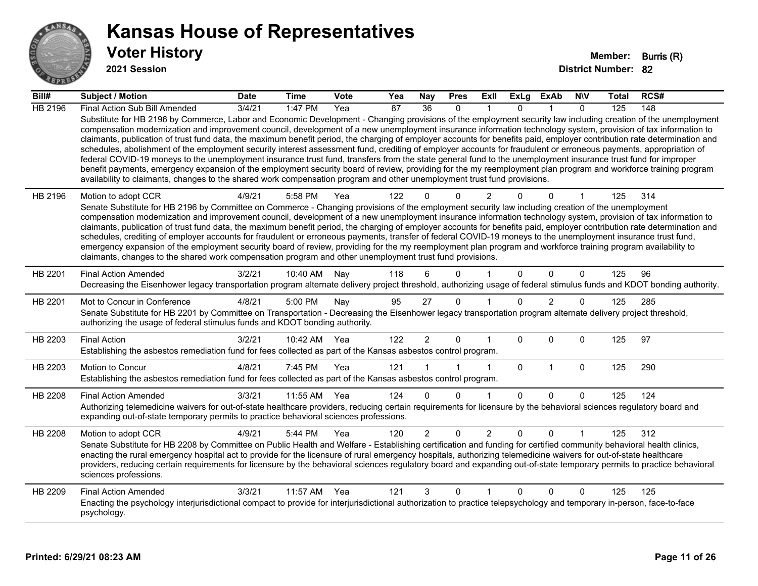

**2021 Session**

| Bill#   | Subject / Motion                                                                                                                                                                                                                                                                                                                                                                                                                                                                                                                                                                                                                                                                                                                                                                                                                                                                                                                                                                                                                                                                                                                                  | <b>Date</b> | <b>Time</b>  | Vote | Yea | <b>Nay</b>      | <b>Pres</b>  | ExII           | ExLg        | ExAb           | <b>NIV</b>   | Total | RCS# |
|---------|---------------------------------------------------------------------------------------------------------------------------------------------------------------------------------------------------------------------------------------------------------------------------------------------------------------------------------------------------------------------------------------------------------------------------------------------------------------------------------------------------------------------------------------------------------------------------------------------------------------------------------------------------------------------------------------------------------------------------------------------------------------------------------------------------------------------------------------------------------------------------------------------------------------------------------------------------------------------------------------------------------------------------------------------------------------------------------------------------------------------------------------------------|-------------|--------------|------|-----|-----------------|--------------|----------------|-------------|----------------|--------------|-------|------|
| HB 2196 | Final Action Sub Bill Amended                                                                                                                                                                                                                                                                                                                                                                                                                                                                                                                                                                                                                                                                                                                                                                                                                                                                                                                                                                                                                                                                                                                     | 3/4/21      | 1:47 PM      | Yea  | 87  | $\overline{36}$ | $\mathbf{0}$ |                | $\Omega$    |                | $\mathbf{0}$ | 125   | 148  |
|         | Substitute for HB 2196 by Commerce, Labor and Economic Development - Changing provisions of the employment security law including creation of the unemployment<br>compensation modernization and improvement council, development of a new unemployment insurance information technology system, provision of tax information to<br>claimants, publication of trust fund data, the maximum benefit period, the charging of employer accounts for benefits paid, employer contribution rate determination and<br>schedules, abolishment of the employment security interest assessment fund, crediting of employer accounts for fraudulent or erroneous payments, appropriation of<br>federal COVID-19 moneys to the unemployment insurance trust fund, transfers from the state general fund to the unemployment insurance trust fund for improper<br>benefit payments, emergency expansion of the employment security board of review, providing for the my reemployment plan program and workforce training program<br>availability to claimants, changes to the shared work compensation program and other unemployment trust fund provisions. |             |              |      |     |                 |              |                |             |                |              |       |      |
| HB 2196 | Motion to adopt CCR                                                                                                                                                                                                                                                                                                                                                                                                                                                                                                                                                                                                                                                                                                                                                                                                                                                                                                                                                                                                                                                                                                                               | 4/9/21      | 5:58 PM      | Yea  | 122 |                 | $\Omega$     | $\overline{2}$ |             | 0              |              | 125   | 314  |
|         | Senate Substitute for HB 2196 by Committee on Commerce - Changing provisions of the employment security law including creation of the unemployment<br>compensation modernization and improvement council, development of a new unemployment insurance information technology system, provision of tax information to<br>claimants, publication of trust fund data, the maximum benefit period, the charging of employer accounts for benefits paid, employer contribution rate determination and<br>schedules, crediting of employer accounts for fraudulent or erroneous payments, transfer of federal COVID-19 moneys to the unemployment insurance trust fund,<br>emergency expansion of the employment security board of review, providing for the my reemployment plan program and workforce training program availability to<br>claimants, changes to the shared work compensation program and other unemployment trust fund provisions.                                                                                                                                                                                                    |             |              |      |     |                 |              |                |             |                |              |       |      |
| HB 2201 | <b>Final Action Amended</b><br>Decreasing the Eisenhower legacy transportation program alternate delivery project threshold, authorizing usage of federal stimulus funds and KDOT bonding authority.                                                                                                                                                                                                                                                                                                                                                                                                                                                                                                                                                                                                                                                                                                                                                                                                                                                                                                                                              | 3/2/21      | 10:40 AM     | Nay  | 118 | 6               | $\Omega$     |                | $\Omega$    | $\Omega$       | $\Omega$     | 125   | 96   |
| HB 2201 | Mot to Concur in Conference<br>Senate Substitute for HB 2201 by Committee on Transportation - Decreasing the Eisenhower legacy transportation program alternate delivery project threshold,<br>authorizing the usage of federal stimulus funds and KDOT bonding authority.                                                                                                                                                                                                                                                                                                                                                                                                                                                                                                                                                                                                                                                                                                                                                                                                                                                                        | 4/8/21      | 5:00 PM      | Nay  | 95  | 27              | $\mathbf 0$  |                | $\Omega$    | $\overline{2}$ | $\Omega$     | 125   | 285  |
| HB 2203 | <b>Final Action</b><br>Establishing the asbestos remediation fund for fees collected as part of the Kansas asbestos control program.                                                                                                                                                                                                                                                                                                                                                                                                                                                                                                                                                                                                                                                                                                                                                                                                                                                                                                                                                                                                              | 3/2/21      | 10:42 AM Yea |      | 122 | $\overline{2}$  | 0            |                | $\Omega$    | $\Omega$       | $\mathbf 0$  | 125   | 97   |
| HB 2203 | Motion to Concur<br>Establishing the asbestos remediation fund for fees collected as part of the Kansas asbestos control program.                                                                                                                                                                                                                                                                                                                                                                                                                                                                                                                                                                                                                                                                                                                                                                                                                                                                                                                                                                                                                 | 4/8/21      | 7:45 PM      | Yea  | 121 |                 |              | $\mathbf{1}$   | $\mathbf 0$ | $\mathbf{1}$   | $\mathbf 0$  | 125   | 290  |
| HB 2208 | <b>Final Action Amended</b>                                                                                                                                                                                                                                                                                                                                                                                                                                                                                                                                                                                                                                                                                                                                                                                                                                                                                                                                                                                                                                                                                                                       | 3/3/21      | 11:55 AM     | Yea  | 124 | $\Omega$        | $\Omega$     |                | $\Omega$    | $\Omega$       | $\Omega$     | 125   | 124  |
|         | Authorizing telemedicine waivers for out-of-state healthcare providers, reducing certain requirements for licensure by the behavioral sciences regulatory board and<br>expanding out-of-state temporary permits to practice behavioral sciences professions.                                                                                                                                                                                                                                                                                                                                                                                                                                                                                                                                                                                                                                                                                                                                                                                                                                                                                      |             |              |      |     |                 |              |                |             |                |              |       |      |
| HB 2208 | Motion to adopt CCR<br>Senate Substitute for HB 2208 by Committee on Public Health and Welfare - Establishing certification and funding for certified community behavioral health clinics,<br>enacting the rural emergency hospital act to provide for the licensure of rural emergency hospitals, authorizing telemedicine waivers for out-of-state healthcare<br>providers, reducing certain requirements for licensure by the behavioral sciences regulatory board and expanding out-of-state temporary permits to practice behavioral<br>sciences professions.                                                                                                                                                                                                                                                                                                                                                                                                                                                                                                                                                                                | 4/9/21      | 5:44 PM      | Yea  | 120 | $\overline{2}$  | 0            | $\overline{2}$ | $\Omega$    | $\Omega$       |              | 125   | 312  |
| HB 2209 | <b>Final Action Amended</b><br>Enacting the psychology interjurisdictional compact to provide for interjurisdictional authorization to practice telepsychology and temporary in-person, face-to-face<br>psychology.                                                                                                                                                                                                                                                                                                                                                                                                                                                                                                                                                                                                                                                                                                                                                                                                                                                                                                                               | 3/3/21      | 11:57 AM     | Yea  | 121 | 3               | $\mathbf{0}$ | 1              | $\Omega$    | $\Omega$       | $\mathbf{0}$ | 125   | 125  |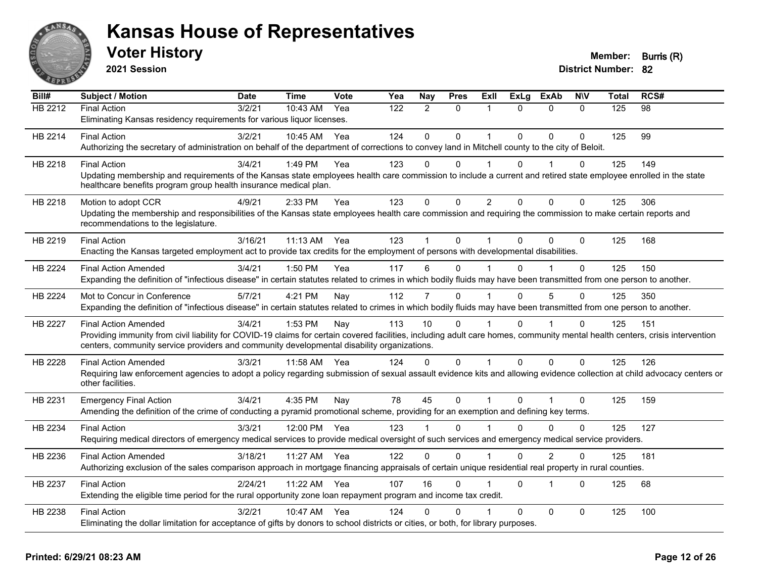

**2021 Session**

| Bill#          | <b>Subject / Motion</b>                                                                                                                                                      | <b>Date</b> | <b>Time</b> | <b>Vote</b> | Yea | Nay          | <b>Pres</b> | ExII           | <b>ExLg</b>  | <b>ExAb</b>    | <b>NIV</b>   | <b>Total</b> | RCS# |
|----------------|------------------------------------------------------------------------------------------------------------------------------------------------------------------------------|-------------|-------------|-------------|-----|--------------|-------------|----------------|--------------|----------------|--------------|--------------|------|
| HB 2212        | Final Action                                                                                                                                                                 | 3/2/21      | 10:43 AM    | Yea         | 122 | 2            | $\Omega$    | 1              | $\Omega$     | $\mathbf{0}$   | $\Omega$     | 125          | 98   |
|                | Eliminating Kansas residency requirements for various liquor licenses.                                                                                                       |             |             |             |     |              |             |                |              |                |              |              |      |
| HB 2214        | <b>Final Action</b>                                                                                                                                                          | 3/2/21      | 10:45 AM    | Yea         | 124 | $\mathbf{0}$ | 0           | 1              | $\Omega$     | $\mathbf{0}$   | $\Omega$     | 125          | 99   |
|                | Authorizing the secretary of administration on behalf of the department of corrections to convey land in Mitchell county to the city of Beloit.                              |             |             |             |     |              |             |                |              |                |              |              |      |
| HB 2218        | <b>Final Action</b>                                                                                                                                                          | 3/4/21      | 1:49 PM     | Yea         | 123 | $\Omega$     | $\Omega$    | 1              | 0            | 1              | 0            | 125          | 149  |
|                | Updating membership and requirements of the Kansas state employees health care commission to include a current and retired state employee enrolled in the state              |             |             |             |     |              |             |                |              |                |              |              |      |
|                | healthcare benefits program group health insurance medical plan.                                                                                                             |             |             |             |     |              |             |                |              |                |              |              |      |
| HB 2218        | Motion to adopt CCR                                                                                                                                                          | 4/9/21      | 2:33 PM     | Yea         | 123 | $\mathbf 0$  | 0           | $\overline{2}$ | $\Omega$     | $\Omega$       | $\mathbf{0}$ | 125          | 306  |
|                | Updating the membership and responsibilities of the Kansas state employees health care commission and requiring the commission to make certain reports and                   |             |             |             |     |              |             |                |              |                |              |              |      |
|                | recommendations to the legislature.                                                                                                                                          |             |             |             |     |              |             |                |              |                |              |              |      |
| HB 2219        | <b>Final Action</b>                                                                                                                                                          | 3/16/21     | $11:13$ AM  | Yea         | 123 |              | $\Omega$    | 1              | $\Omega$     | $\Omega$       | $\Omega$     | 125          | 168  |
|                | Enacting the Kansas targeted employment act to provide tax credits for the employment of persons with developmental disabilities.                                            |             |             |             |     |              |             |                |              |                |              |              |      |
| HB 2224        | <b>Final Action Amended</b>                                                                                                                                                  | 3/4/21      | 1:50 PM     | Yea         | 117 | 6            | 0           |                | $\Omega$     |                | $\Omega$     | 125          | 150  |
|                | Expanding the definition of "infectious disease" in certain statutes related to crimes in which bodily fluids may have been transmitted from one person to another.          |             |             |             |     |              |             |                |              |                |              |              |      |
| HB 2224        | Mot to Concur in Conference                                                                                                                                                  | 5/7/21      | 4:21 PM     | Nay         | 112 | 7            | $\Omega$    |                | $\Omega$     | 5              | $\Omega$     | 125          | 350  |
|                | Expanding the definition of "infectious disease" in certain statutes related to crimes in which bodily fluids may have been transmitted from one person to another.          |             |             |             |     |              |             |                |              |                |              |              |      |
| <b>HB 2227</b> | <b>Final Action Amended</b>                                                                                                                                                  | 3/4/21      | 1:53 PM     | Nay         | 113 | 10           | $\Omega$    |                | $\Omega$     | 1              | $\mathbf{0}$ | 125          | 151  |
|                | Providing immunity from civil liability for COVID-19 claims for certain covered facilities, including adult care homes, community mental health centers, crisis intervention |             |             |             |     |              |             |                |              |                |              |              |      |
|                | centers, community service providers and community developmental disability organizations.                                                                                   |             |             |             |     |              |             |                |              |                |              |              |      |
| HB 2228        | <b>Final Action Amended</b>                                                                                                                                                  | 3/3/21      | 11:58 AM    | Yea         | 124 | 0            | 0           | 1              | 0            | $\mathbf 0$    | 0            | 125          | 126  |
|                | Requiring law enforcement agencies to adopt a policy regarding submission of sexual assault evidence kits and allowing evidence collection at child advocacy centers or      |             |             |             |     |              |             |                |              |                |              |              |      |
|                | other facilities.                                                                                                                                                            |             |             |             |     |              |             |                |              |                |              |              |      |
| HB 2231        | <b>Emergency Final Action</b>                                                                                                                                                | 3/4/21      | 4:35 PM     | Nay         | 78  | 45           | $\mathbf 0$ | $\mathbf{1}$   | $\mathbf{0}$ | $\overline{1}$ | $\mathbf 0$  | 125          | 159  |
|                | Amending the definition of the crime of conducting a pyramid promotional scheme, providing for an exemption and defining key terms.                                          |             |             |             |     |              |             |                |              |                |              |              |      |
| HB 2234        | <b>Final Action</b>                                                                                                                                                          | 3/3/21      | 12:00 PM    | Yea         | 123 |              | $\Omega$    |                | $\Omega$     | $\Omega$       | $\Omega$     | 125          | 127  |
|                | Requiring medical directors of emergency medical services to provide medical oversight of such services and emergency medical service providers.                             |             |             |             |     |              |             |                |              |                |              |              |      |
| HB 2236        | <b>Final Action Amended</b>                                                                                                                                                  | 3/18/21     | 11:27 AM    | Yea         | 122 | $\Omega$     | $\Omega$    | 1              | $\Omega$     | $\overline{2}$ | $\Omega$     | 125          | 181  |
|                | Authorizing exclusion of the sales comparison approach in mortgage financing appraisals of certain unique residential real property in rural counties.                       |             |             |             |     |              |             |                |              |                |              |              |      |
|                |                                                                                                                                                                              | 2/24/21     |             | Yea         | 107 | 16           | $\Omega$    |                | $\mathbf{0}$ | $\overline{1}$ | $\Omega$     | 125          | 68   |
| HB 2237        | <b>Final Action</b><br>Extending the eligible time period for the rural opportunity zone loan repayment program and income tax credit.                                       |             | 11:22 AM    |             |     |              |             |                |              |                |              |              |      |
|                |                                                                                                                                                                              |             |             |             |     |              |             |                |              |                |              |              |      |
| HB 2238        | <b>Final Action</b>                                                                                                                                                          | 3/2/21      | 10:47 AM    | Yea         | 124 | 0            | 0           |                | $\Omega$     | $\mathbf{0}$   | 0            | 125          | 100  |
|                | Eliminating the dollar limitation for acceptance of gifts by donors to school districts or cities, or both, for library purposes.                                            |             |             |             |     |              |             |                |              |                |              |              |      |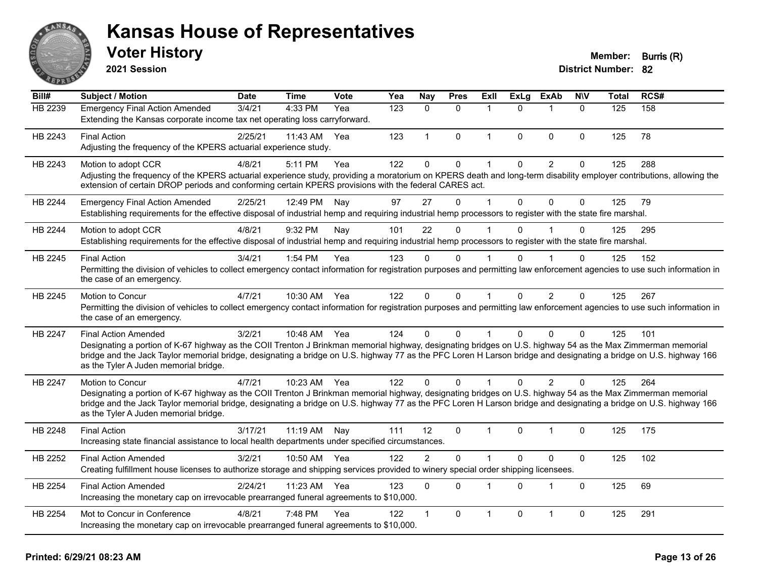

**2021 Session**

| Bill#   | Subject / Motion                                                                                                                                                                                                                                                                                                                                                                                         | <b>Date</b> | Time         | <b>Vote</b> | Yea | Nay            | <b>Pres</b>  | <b>Exll</b>  | <b>ExLg</b>  | <b>ExAb</b>    | <b>NIV</b>   | <b>Total</b> | RCS# |
|---------|----------------------------------------------------------------------------------------------------------------------------------------------------------------------------------------------------------------------------------------------------------------------------------------------------------------------------------------------------------------------------------------------------------|-------------|--------------|-------------|-----|----------------|--------------|--------------|--------------|----------------|--------------|--------------|------|
| HB 2239 | <b>Emergency Final Action Amended</b><br>Extending the Kansas corporate income tax net operating loss carryforward.                                                                                                                                                                                                                                                                                      | 3/4/21      | 4:33 PM      | Yea         | 123 | $\mathbf{0}$   | $\Omega$     | 1            | $\Omega$     | $\mathbf 1$    | $\mathbf{0}$ | 125          | 158  |
| HB 2243 | <b>Final Action</b><br>Adjusting the frequency of the KPERS actuarial experience study.                                                                                                                                                                                                                                                                                                                  | 2/25/21     | 11:43 AM     | Yea         | 123 | $\mathbf{1}$   | $\mathbf 0$  | $\mathbf{1}$ | $\Omega$     | $\mathbf{0}$   | 0            | 125          | 78   |
| HB 2243 | Motion to adopt CCR<br>Adjusting the frequency of the KPERS actuarial experience study, providing a moratorium on KPERS death and long-term disability employer contributions, allowing the<br>extension of certain DROP periods and conforming certain KPERS provisions with the federal CARES act.                                                                                                     | 4/8/21      | 5:11 PM      | Yea         | 122 | $\mathbf 0$    | $\mathsf 0$  | $\mathbf 1$  | $\mathbf 0$  | $\overline{2}$ | $\mathbf 0$  | 125          | 288  |
| HB 2244 | <b>Emergency Final Action Amended</b><br>Establishing requirements for the effective disposal of industrial hemp and requiring industrial hemp processors to register with the state fire marshal.                                                                                                                                                                                                       | 2/25/21     | 12:49 PM     | Nay         | 97  | 27             | $\Omega$     | $\mathbf 1$  | $\Omega$     | $\Omega$       | 0            | 125          | 79   |
| HB 2244 | Motion to adopt CCR<br>Establishing requirements for the effective disposal of industrial hemp and requiring industrial hemp processors to register with the state fire marshal.                                                                                                                                                                                                                         | 4/8/21      | 9:32 PM      | Nay         | 101 | 22             | $\Omega$     |              | $\Omega$     |                | 0            | 125          | 295  |
| HB 2245 | <b>Final Action</b><br>Permitting the division of vehicles to collect emergency contact information for registration purposes and permitting law enforcement agencies to use such information in<br>the case of an emergency.                                                                                                                                                                            | 3/4/21      | 1:54 PM      | Yea         | 123 | $\Omega$       | $\Omega$     |              | 0            |                | 0            | 125          | 152  |
| HB 2245 | Motion to Concur<br>Permitting the division of vehicles to collect emergency contact information for registration purposes and permitting law enforcement agencies to use such information in<br>the case of an emergency.                                                                                                                                                                               | 4/7/21      | 10:30 AM     | Yea         | 122 | $\mathbf 0$    | $\mathbf 0$  | $\mathbf{1}$ | $\mathbf{0}$ | $\overline{2}$ | $\mathbf 0$  | 125          | 267  |
| HB 2247 | <b>Final Action Amended</b><br>Designating a portion of K-67 highway as the COII Trenton J Brinkman memorial highway, designating bridges on U.S. highway 54 as the Max Zimmerman memorial<br>bridge and the Jack Taylor memorial bridge, designating a bridge on U.S. highway 77 as the PFC Loren H Larson bridge and designating a bridge on U.S. highway 166<br>as the Tyler A Juden memorial bridge. | 3/2/21      | 10:48 AM Yea |             | 124 | $\Omega$       | $\Omega$     | 1            | $\Omega$     | $\Omega$       | 0            | 125          | 101  |
| HB 2247 | Motion to Concur<br>Designating a portion of K-67 highway as the COII Trenton J Brinkman memorial highway, designating bridges on U.S. highway 54 as the Max Zimmerman memorial<br>bridge and the Jack Taylor memorial bridge, designating a bridge on U.S. highway 77 as the PFC Loren H Larson bridge and designating a bridge on U.S. highway 166<br>as the Tyler A Juden memorial bridge.            | 4/7/21      | 10:23 AM Yea |             | 122 | $\Omega$       | $\Omega$     |              | $\Omega$     | $\overline{2}$ | 0            | 125          | 264  |
| HB 2248 | <b>Final Action</b><br>Increasing state financial assistance to local health departments under specified circumstances.                                                                                                                                                                                                                                                                                  | 3/17/21     | 11:19 AM     | Nav         | 111 | 12             | $\mathbf{0}$ | 1            | $\Omega$     | 1              | 0            | 125          | 175  |
| HB 2252 | <b>Final Action Amended</b><br>Creating fulfillment house licenses to authorize storage and shipping services provided to winery special order shipping licensees.                                                                                                                                                                                                                                       | 3/2/21      | 10:50 AM     | Yea         | 122 | $\overline{c}$ | $\mathbf 0$  | $\mathbf 1$  | $\Omega$     | $\mathbf 0$    | $\mathbf 0$  | 125          | 102  |
| HB 2254 | <b>Final Action Amended</b><br>Increasing the monetary cap on irrevocable prearranged funeral agreements to \$10,000.                                                                                                                                                                                                                                                                                    | 2/24/21     | 11:23 AM     | Yea         | 123 | $\Omega$       | $\Omega$     | 1            | $\Omega$     | $\overline{1}$ | $\Omega$     | 125          | 69   |
| HB 2254 | Mot to Concur in Conference<br>Increasing the monetary cap on irrevocable prearranged funeral agreements to \$10,000.                                                                                                                                                                                                                                                                                    | 4/8/21      | 7:48 PM      | Yea         | 122 |                | 0            | 1            | $\Omega$     | $\overline{1}$ | 0            | 125          | 291  |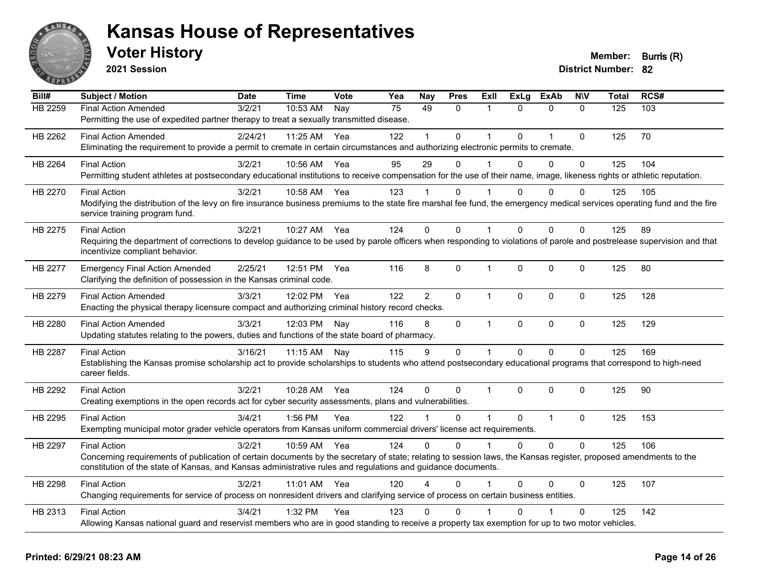

**2021 Session**

| Bill#   | <b>Subject / Motion</b>                                                                                                                                                                                                                                                                                 | <b>Date</b> | <b>Time</b>  | <b>Vote</b> | Yea | Nay            | <b>Pres</b>  | ExIl         | <b>ExLg</b>  | <b>ExAb</b>    | <b>NIV</b>  | <b>Total</b> | RCS# |
|---------|---------------------------------------------------------------------------------------------------------------------------------------------------------------------------------------------------------------------------------------------------------------------------------------------------------|-------------|--------------|-------------|-----|----------------|--------------|--------------|--------------|----------------|-------------|--------------|------|
| HB 2259 | <b>Final Action Amended</b><br>Permitting the use of expedited partner therapy to treat a sexually transmitted disease.                                                                                                                                                                                 | 3/2/21      | 10:53 AM     | Nay         | 75  | 49             | $\mathbf{0}$ | $\mathbf{1}$ | $\Omega$     | $\mathbf{0}$   | $\Omega$    | 125          | 103  |
| HB 2262 | <b>Final Action Amended</b><br>Eliminating the requirement to provide a permit to cremate in certain circumstances and authorizing electronic permits to cremate.                                                                                                                                       | 2/24/21     | 11:25 AM     | Yea         | 122 | 1              | $\mathbf 0$  | $\mathbf 1$  | $\Omega$     | 1              | $\mathbf 0$ | 125          | 70   |
| HB 2264 | <b>Final Action</b><br>Permitting student athletes at postsecondary educational institutions to receive compensation for the use of their name, image, likeness rights or athletic reputation.                                                                                                          | 3/2/21      | 10:56 AM     | Yea         | 95  | 29             | 0            | $\mathbf 1$  | $\Omega$     | $\mathbf 0$    | 0           | 125          | 104  |
| HB 2270 | <b>Final Action</b><br>Modifying the distribution of the levy on fire insurance business premiums to the state fire marshal fee fund, the emergency medical services operating fund and the fire<br>service training program fund.                                                                      | 3/2/21      | 10:58 AM Yea |             | 123 |                | 0            |              | $\Omega$     | $\mathbf{0}$   | 0           | 125          | 105  |
| HB 2275 | <b>Final Action</b><br>Requiring the department of corrections to develop guidance to be used by parole officers when responding to violations of parole and postrelease supervision and that<br>incentivize compliant behavior.                                                                        | 3/2/21      | 10:27 AM     | Yea         | 124 | $\Omega$       | $\Omega$     | $\mathbf 1$  | $\Omega$     | $\Omega$       | 0           | 125          | 89   |
| HB 2277 | <b>Emergency Final Action Amended</b><br>Clarifying the definition of possession in the Kansas criminal code.                                                                                                                                                                                           | 2/25/21     | 12:51 PM     | Yea         | 116 | 8              | $\mathbf 0$  | $\mathbf{1}$ | $\mathbf 0$  | $\mathbf 0$    | 0           | 125          | 80   |
| HB 2279 | <b>Final Action Amended</b><br>Enacting the physical therapy licensure compact and authorizing criminal history record checks.                                                                                                                                                                          | 3/3/21      | 12:02 PM     | Yea         | 122 | $\overline{2}$ | $\mathbf 0$  | $\mathbf{1}$ | $\Omega$     | $\mathbf 0$    | 0           | 125          | 128  |
| HB 2280 | <b>Final Action Amended</b><br>Updating statutes relating to the powers, duties and functions of the state board of pharmacy.                                                                                                                                                                           | 3/3/21      | 12:03 PM     | Nay         | 116 | 8              | $\mathbf 0$  | $\mathbf{1}$ | 0            | $\mathbf 0$    | 0           | 125          | 129  |
| HB 2287 | <b>Final Action</b><br>Establishing the Kansas promise scholarship act to provide scholarships to students who attend postsecondary educational programs that correspond to high-need<br>career fields.                                                                                                 | 3/16/21     | 11:15 AM     | Nay         | 115 | 9              | $\mathbf 0$  | $\mathbf{1}$ | $\mathbf 0$  | $\mathbf 0$    | 0           | 125          | 169  |
| HB 2292 | <b>Final Action</b><br>Creating exemptions in the open records act for cyber security assessments, plans and vulnerabilities.                                                                                                                                                                           | 3/2/21      | 10:28 AM     | Yea         | 124 | $\Omega$       | 0            | 1            | $\Omega$     | $\Omega$       | 0           | 125          | 90   |
| HB 2295 | <b>Final Action</b><br>Exempting municipal motor grader vehicle operators from Kansas uniform commercial drivers' license act requirements.                                                                                                                                                             | 3/4/21      | 1:56 PM      | Yea         | 122 | $\mathbf 1$    | $\Omega$     | $\mathbf 1$  | $\mathbf{0}$ | $\overline{1}$ | 0           | 125          | 153  |
| HB 2297 | <b>Final Action</b><br>Concerning requirements of publication of certain documents by the secretary of state; relating to session laws, the Kansas register, proposed amendments to the<br>constitution of the state of Kansas, and Kansas administrative rules and regulations and guidance documents. | 3/2/21      | 10:59 AM     | Yea         | 124 | $\Omega$       | $\Omega$     | 1            | $\Omega$     | $\Omega$       | 0           | 125          | 106  |
| HB 2298 | <b>Final Action</b><br>Changing requirements for service of process on nonresident drivers and clarifying service of process on certain business entities.                                                                                                                                              | 3/2/21      | 11:01 AM Yea |             | 120 | 4              | $\Omega$     | $\mathbf 1$  | $\mathbf{0}$ | 0              | 0           | 125          | 107  |
| HB 2313 | <b>Final Action</b><br>Allowing Kansas national guard and reservist members who are in good standing to receive a property tax exemption for up to two motor vehicles.                                                                                                                                  | 3/4/21      | 1:32 PM      | Yea         | 123 | $\Omega$       | 0            |              | $\Omega$     |                | 0           | 125          | 142  |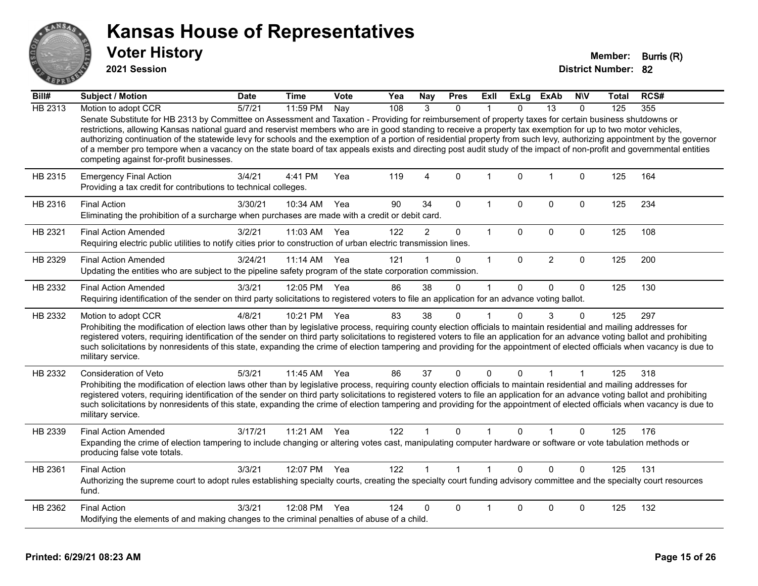

**2021 Session**

| Bill#   | Subject / Motion                                                                                                                                                                                                                                                                                                                                                                                                                                                                                                                                                                                                                                                                                                          | <b>Date</b> | <b>Time</b> | Vote | Yea | <b>Nay</b>     | <b>Pres</b>  | Exll         | ExLg         | <b>ExAb</b>    | <b>NIV</b>   | Total | RCS# |
|---------|---------------------------------------------------------------------------------------------------------------------------------------------------------------------------------------------------------------------------------------------------------------------------------------------------------------------------------------------------------------------------------------------------------------------------------------------------------------------------------------------------------------------------------------------------------------------------------------------------------------------------------------------------------------------------------------------------------------------------|-------------|-------------|------|-----|----------------|--------------|--------------|--------------|----------------|--------------|-------|------|
| HB 2313 | Motion to adopt CCR                                                                                                                                                                                                                                                                                                                                                                                                                                                                                                                                                                                                                                                                                                       | 5/7/21      | 11:59 PM    | Nay  | 108 | 3              | $\Omega$     |              | $\Omega$     | 13             | $\Omega$     | 125   | 355  |
|         | Senate Substitute for HB 2313 by Committee on Assessment and Taxation - Providing for reimbursement of property taxes for certain business shutdowns or<br>restrictions, allowing Kansas national guard and reservist members who are in good standing to receive a property tax exemption for up to two motor vehicles,<br>authorizing continuation of the statewide levy for schools and the exemption of a portion of residential property from such levy, authorizing appointment by the governor<br>of a member pro tempore when a vacancy on the state board of tax appeals exists and directing post audit study of the impact of non-profit and governmental entities<br>competing against for-profit businesses. |             |             |      |     |                |              |              |              |                |              |       |      |
| HB 2315 | <b>Emergency Final Action</b><br>Providing a tax credit for contributions to technical colleges.                                                                                                                                                                                                                                                                                                                                                                                                                                                                                                                                                                                                                          | 3/4/21      | 4:41 PM     | Yea  | 119 | 4              | 0            | $\mathbf{1}$ | $\mathbf 0$  | $\overline{1}$ | $\mathbf 0$  | 125   | 164  |
| HB 2316 | <b>Final Action</b><br>Eliminating the prohibition of a surcharge when purchases are made with a credit or debit card.                                                                                                                                                                                                                                                                                                                                                                                                                                                                                                                                                                                                    | 3/30/21     | 10:34 AM    | Yea  | 90  | 34             | $\Omega$     | 1            | $\Omega$     | 0              | 0            | 125   | 234  |
| HB 2321 | <b>Final Action Amended</b><br>Requiring electric public utilities to notify cities prior to construction of urban electric transmission lines.                                                                                                                                                                                                                                                                                                                                                                                                                                                                                                                                                                           | 3/2/21      | 11:03 AM    | Yea  | 122 | $\overline{2}$ | 0            | $\mathbf{1}$ | 0            | 0              | $\mathbf 0$  | 125   | 108  |
| HB 2329 | <b>Final Action Amended</b><br>Updating the entities who are subject to the pipeline safety program of the state corporation commission.                                                                                                                                                                                                                                                                                                                                                                                                                                                                                                                                                                                  | 3/24/21     | 11:14 AM    | Yea  | 121 |                | 0            | $\mathbf{1}$ | $\Omega$     | $\overline{2}$ | $\mathbf 0$  | 125   | 200  |
| HB 2332 | <b>Final Action Amended</b><br>Requiring identification of the sender on third party solicitations to registered voters to file an application for an advance voting ballot.                                                                                                                                                                                                                                                                                                                                                                                                                                                                                                                                              | 3/3/21      | 12:05 PM    | Yea  | 86  | 38             | $\Omega$     | $\mathbf 1$  | $\mathbf{0}$ | $\Omega$       | $\mathbf{0}$ | 125   | 130  |
| HB 2332 | Motion to adopt CCR<br>Prohibiting the modification of election laws other than by legislative process, requiring county election officials to maintain residential and mailing addresses for<br>registered voters, requiring identification of the sender on third party solicitations to registered voters to file an application for an advance voting ballot and prohibiting<br>such solicitations by nonresidents of this state, expanding the crime of election tampering and providing for the appointment of elected officials when vacancy is due to<br>military service.                                                                                                                                        | 4/8/21      | 10:21 PM    | Yea  | 83  | 38             | 0            |              | $\Omega$     | 3              | $\Omega$     | 125   | 297  |
| HB 2332 | <b>Consideration of Veto</b><br>Prohibiting the modification of election laws other than by legislative process, requiring county election officials to maintain residential and mailing addresses for<br>registered voters, requiring identification of the sender on third party solicitations to registered voters to file an application for an advance voting ballot and prohibiting<br>such solicitations by nonresidents of this state, expanding the crime of election tampering and providing for the appointment of elected officials when vacancy is due to<br>military service.                                                                                                                               | 5/3/21      | 11:45 AM    | Yea  | 86  | 37             | $\mathbf 0$  | $\Omega$     | $\mathbf{0}$ | 1              |              | 125   | 318  |
| HB 2339 | <b>Final Action Amended</b><br>Expanding the crime of election tampering to include changing or altering votes cast, manipulating computer hardware or software or vote tabulation methods or<br>producing false vote totals.                                                                                                                                                                                                                                                                                                                                                                                                                                                                                             | 3/17/21     | 11:21 AM    | Yea  | 122 |                | $\Omega$     |              | 0            |                | $\Omega$     | 125   | 176  |
| HB 2361 | <b>Final Action</b><br>Authorizing the supreme court to adopt rules establishing specialty courts, creating the specialty court funding advisory committee and the specialty court resources<br>fund.                                                                                                                                                                                                                                                                                                                                                                                                                                                                                                                     | 3/3/21      | 12:07 PM    | Yea  | 122 |                | $\mathbf{1}$ | $\mathbf{1}$ | $\Omega$     | $\Omega$       | $\mathbf 0$  | 125   | 131  |
| HB 2362 | <b>Final Action</b><br>Modifying the elements of and making changes to the criminal penalties of abuse of a child.                                                                                                                                                                                                                                                                                                                                                                                                                                                                                                                                                                                                        | 3/3/21      | 12:08 PM    | Yea  | 124 | 0              | 0            |              | $\Omega$     | 0              | 0            | 125   | 132  |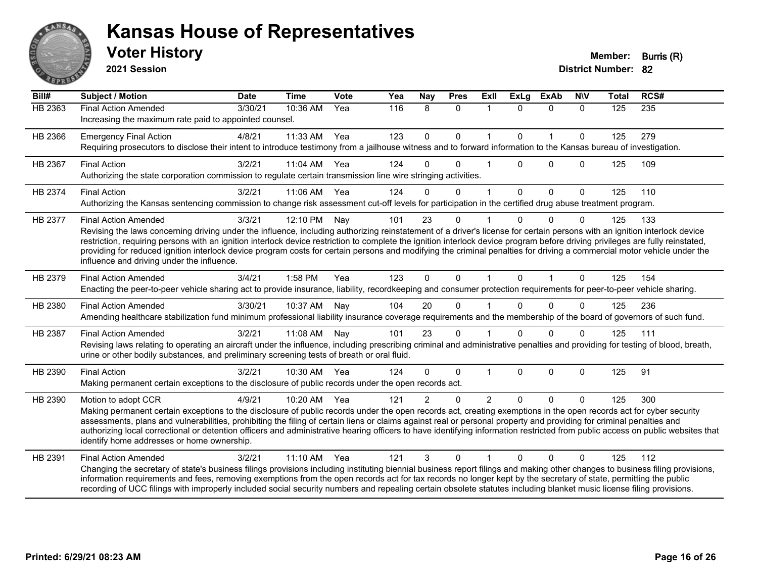

**2021 Session**

| $\overline{Bill#}$ | <b>Subject / Motion</b>                                                                                                                                                                                                                                                                                                                                                                                                                                                                                                                                                                                             | <b>Date</b> | <b>Time</b> | Vote | Yea | <b>Nay</b>     | <b>Pres</b>  | ExIl           | <b>ExLg</b> | <b>ExAb</b>  | <b>NIV</b>   | <b>Total</b> | RCS#             |
|--------------------|---------------------------------------------------------------------------------------------------------------------------------------------------------------------------------------------------------------------------------------------------------------------------------------------------------------------------------------------------------------------------------------------------------------------------------------------------------------------------------------------------------------------------------------------------------------------------------------------------------------------|-------------|-------------|------|-----|----------------|--------------|----------------|-------------|--------------|--------------|--------------|------------------|
| HB 2363            | <b>Final Action Amended</b><br>Increasing the maximum rate paid to appointed counsel.                                                                                                                                                                                                                                                                                                                                                                                                                                                                                                                               | 3/30/21     | 10:36 AM    | Yea  | 116 | 8              | $\mathbf{0}$ | -1             | $\Omega$    | $\Omega$     | $\mathbf{0}$ | 125          | $\overline{235}$ |
| HB 2366            | <b>Emergency Final Action</b><br>Requiring prosecutors to disclose their intent to introduce testimony from a jailhouse witness and to forward information to the Kansas bureau of investigation.                                                                                                                                                                                                                                                                                                                                                                                                                   | 4/8/21      | 11:33 AM    | Yea  | 123 | $\mathbf 0$    | $\mathbf 0$  | 1              | $\mathbf 0$ | $\mathbf{1}$ | $\mathbf{0}$ | 125          | 279              |
| HB 2367            | <b>Final Action</b><br>Authorizing the state corporation commission to regulate certain transmission line wire stringing activities.                                                                                                                                                                                                                                                                                                                                                                                                                                                                                | 3/2/21      | 11:04 AM    | Yea  | 124 | $\Omega$       | $\Omega$     |                | $\Omega$    | $\Omega$     | $\mathbf{0}$ | 125          | 109              |
| HB 2374            | <b>Final Action</b><br>Authorizing the Kansas sentencing commission to change risk assessment cut-off levels for participation in the certified drug abuse treatment program.                                                                                                                                                                                                                                                                                                                                                                                                                                       | 3/2/21      | 11:06 AM    | Yea  | 124 | $\Omega$       | $\mathbf{0}$ | $\mathbf{1}$   | $\Omega$    | $\Omega$     | $\mathbf{0}$ | 125          | 110              |
| HB 2377            | <b>Final Action Amended</b><br>Revising the laws concerning driving under the influence, including authorizing reinstatement of a driver's license for certain persons with an ignition interlock device<br>restriction, requiring persons with an ignition interlock device restriction to complete the ignition interlock device program before driving privileges are fully reinstated,<br>providing for reduced ignition interlock device program costs for certain persons and modifying the criminal penalties for driving a commercial motor vehicle under the<br>influence and driving under the influence. | 3/3/21      | 12:10 PM    | Nay  | 101 | 23             | $\mathbf 0$  |                | $\Omega$    | $\Omega$     | $\Omega$     | 125          | 133              |
| HB 2379            | <b>Final Action Amended</b><br>Enacting the peer-to-peer vehicle sharing act to provide insurance, liability, recordkeeping and consumer protection requirements for peer-to-peer vehicle sharing.                                                                                                                                                                                                                                                                                                                                                                                                                  | 3/4/21      | 1:58 PM     | Yea  | 123 | $\Omega$       | $\Omega$     | $\overline{1}$ | $\Omega$    | $\mathbf{1}$ | $\Omega$     | 125          | 154              |
| HB 2380            | <b>Final Action Amended</b><br>Amending healthcare stabilization fund minimum professional liability insurance coverage requirements and the membership of the board of governors of such fund.                                                                                                                                                                                                                                                                                                                                                                                                                     | 3/30/21     | 10:37 AM    | Nay  | 104 | 20             | $\Omega$     |                | $\Omega$    | $\Omega$     | $\Omega$     | 125          | 236              |
| HB 2387            | <b>Final Action Amended</b><br>Revising laws relating to operating an aircraft under the influence, including prescribing criminal and administrative penalties and providing for testing of blood, breath,<br>urine or other bodily substances, and preliminary screening tests of breath or oral fluid.                                                                                                                                                                                                                                                                                                           | 3/2/21      | 11:08 AM    | Nay  | 101 | 23             | $\mathbf{0}$ |                | $\Omega$    | $\Omega$     | $\Omega$     | 125          | 111              |
| HB 2390            | <b>Final Action</b><br>Making permanent certain exceptions to the disclosure of public records under the open records act.                                                                                                                                                                                                                                                                                                                                                                                                                                                                                          | 3/2/21      | 10:30 AM    | Yea  | 124 | $\Omega$       | $\Omega$     |                | $\Omega$    | $\mathbf 0$  | $\mathbf 0$  | 125          | 91               |
| HB 2390            | Motion to adopt CCR<br>Making permanent certain exceptions to the disclosure of public records under the open records act, creating exemptions in the open records act for cyber security<br>assessments, plans and vulnerabilities, prohibiting the filing of certain liens or claims against real or personal property and providing for criminal penalties and<br>authorizing local correctional or detention officers and administrative hearing officers to have identifying information restricted from public access on public websites that<br>identify home addresses or home ownership.                   | 4/9/21      | 10:20 AM    | Yea  | 121 | $\overline{2}$ | $\mathbf{0}$ | 2              | $\Omega$    | $\Omega$     | $\Omega$     | 125          | 300              |
| HB 2391            | <b>Final Action Amended</b><br>Changing the secretary of state's business filings provisions including instituting biennial business report filings and making other changes to business filing provisions,<br>information requirements and fees, removing exemptions from the open records act for tax records no longer kept by the secretary of state, permitting the public<br>recording of UCC filings with improperly included social security numbers and repealing certain obsolete statutes including blanket music license filing provisions.                                                             | 3/2/21      | $11:10$ AM  | Yea  | 121 | 3              | $\Omega$     |                | $\Omega$    | $\Omega$     | $\Omega$     | 125          | 112              |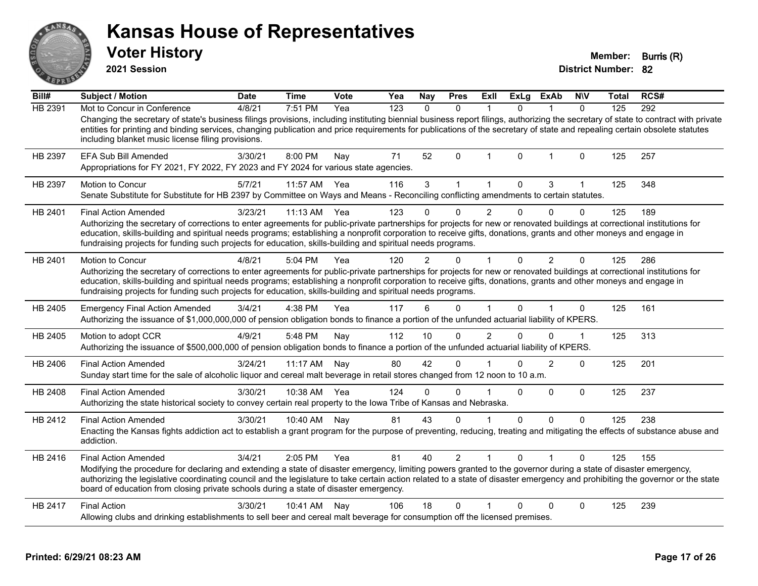| ANSAR          | <b>Kansas House of Representatives</b><br><b>Voter History</b><br>2021 Session                                                                                                                                                                                                                                                                                                                                                                                                              |             |              |             |     |               |                |                |              |                |              | Member:<br><b>District Number: 82</b> | Burris (R) |
|----------------|---------------------------------------------------------------------------------------------------------------------------------------------------------------------------------------------------------------------------------------------------------------------------------------------------------------------------------------------------------------------------------------------------------------------------------------------------------------------------------------------|-------------|--------------|-------------|-----|---------------|----------------|----------------|--------------|----------------|--------------|---------------------------------------|------------|
| Bill#          | <b>Subject / Motion</b>                                                                                                                                                                                                                                                                                                                                                                                                                                                                     | <b>Date</b> | Time         | <b>Vote</b> | Yea | Nay           | <b>Pres</b>    | Exll           | <b>ExLg</b>  | <b>ExAb</b>    | <b>NIV</b>   | Total                                 | RCS#       |
| <b>HB 2391</b> | Mot to Concur in Conference<br>Changing the secretary of state's business filings provisions, including instituting biennial business report filings, authorizing the secretary of state to contract with private<br>entities for printing and binding services, changing publication and price requirements for publications of the secretary of state and repealing certain obsolete statutes<br>including blanket music license filing provisions.                                       | 4/8/21      | 7:51 PM      | Yea         | 123 | $\mathbf{0}$  | $\mathbf{0}$   | $\overline{1}$ | $\mathbf{0}$ | $\mathbf{1}$   | $\mathbf{0}$ | 125                                   | 292        |
| HB 2397        | <b>EFA Sub Bill Amended</b><br>Appropriations for FY 2021, FY 2022, FY 2023 and FY 2024 for various state agencies.                                                                                                                                                                                                                                                                                                                                                                         | 3/30/21     | 8:00 PM      | Nay         | 71  | 52            | 0              | -1             | $\mathbf{0}$ | -1             | 0            | 125                                   | 257        |
| HB 2397        | <b>Motion to Concur</b><br>Senate Substitute for Substitute for HB 2397 by Committee on Ways and Means - Reconciling conflicting amendments to certain statutes.                                                                                                                                                                                                                                                                                                                            | 5/7/21      | 11:57 AM     | Yea         | 116 | 3             | $\mathbf{1}$   | $\mathbf{1}$   | $\mathbf 0$  | $\mathfrak{S}$ | $\mathbf{1}$ | 125                                   | 348        |
| HB 2401        | <b>Final Action Amended</b><br>Authorizing the secretary of corrections to enter agreements for public-private partnerships for projects for new or renovated buildings at correctional institutions for<br>education, skills-building and spiritual needs programs; establishing a nonprofit corporation to receive gifts, donations, grants and other moneys and engage in<br>fundraising projects for funding such projects for education, skills-building and spiritual needs programs. | 3/23/21     | $11:13$ AM   | Yea         | 123 | $\Omega$      | $\Omega$       | $\overline{2}$ | $\mathbf 0$  | $\mathbf{0}$   | 0            | 125                                   | 189        |
| HB 2401        | Motion to Concur<br>Authorizing the secretary of corrections to enter agreements for public-private partnerships for projects for new or renovated buildings at correctional institutions for<br>education, skills-building and spiritual needs programs; establishing a nonprofit corporation to receive gifts, donations, grants and other moneys and engage in<br>fundraising projects for funding such projects for education, skills-building and spiritual needs programs.            | 4/8/21      | 5:04 PM      | Yea         | 120 | $\mathcal{P}$ | $\Omega$       | $\mathbf 1$    | $\Omega$     | 2              | $\Omega$     | 125                                   | 286        |
| HB 2405        | <b>Emergency Final Action Amended</b><br>Authorizing the issuance of \$1,000,000,000 of pension obligation bonds to finance a portion of the unfunded actuarial liability of KPERS.                                                                                                                                                                                                                                                                                                         | 3/4/21      | 4:38 PM      | Yea         | 117 | 6             | $\Omega$       | $\overline{1}$ | $\Omega$     |                | 0            | 125                                   | 161        |
| HB 2405        | Motion to adopt CCR<br>Authorizing the issuance of \$500,000,000 of pension obligation bonds to finance a portion of the unfunded actuarial liability of KPERS.                                                                                                                                                                                                                                                                                                                             | 4/9/21      | 5:48 PM      | Nay         | 112 | 10            | $\Omega$       | $\overline{2}$ | $\Omega$     | $\Omega$       | 1            | 125                                   | 313        |
| HB 2406        | <b>Final Action Amended</b><br>Sunday start time for the sale of alcoholic liquor and cereal malt beverage in retail stores changed from 12 noon to 10 a.m.                                                                                                                                                                                                                                                                                                                                 | 3/24/21     | 11:17 AM Nay |             | 80  | 42            | 0              |                | 0            | 2              | 0            | 125                                   | 201        |
| HB 2408        | <b>Final Action Amended</b><br>Authorizing the state historical society to convey certain real property to the lowa Tribe of Kansas and Nebraska.                                                                                                                                                                                                                                                                                                                                           | 3/30/21     | 10:38 AM Yea |             | 124 | $\mathbf 0$   | 0              | $\overline{1}$ | $\Omega$     | $\Omega$       | 0            | 125                                   | 237        |
| HB 2412        | <b>Final Action Amended</b><br>Enacting the Kansas fights addiction act to establish a grant program for the purpose of preventing, reducing, treating and mitigating the effects of substance abuse and<br>addiction.                                                                                                                                                                                                                                                                      | 3/30/21     | 10:40 AM     | Nay         | 81  | 43            | $\Omega$       | $\mathbf{1}$   | $\mathbf 0$  | $\mathbf{0}$   | $\Omega$     | 125                                   | 238        |
| HB 2416        | <b>Final Action Amended</b><br>Modifying the procedure for declaring and extending a state of disaster emergency, limiting powers granted to the governor during a state of disaster emergency,<br>authorizing the legislative coordinating council and the legislature to take certain action related to a state of disaster emergency and prohibiting the governor or the state<br>board of education from closing private schools during a state of disaster emergency.                  | 3/4/21      | 2:05 PM      | Yea         | 81  | 40            | $\overline{2}$ | 1              | $\mathbf{0}$ |                | 0            | 125                                   | 155        |
| HB 2417        | <b>Final Action</b><br>Allowing clubs and drinking establishments to sell beer and cereal malt beverage for consumption off the licensed premises.                                                                                                                                                                                                                                                                                                                                          | 3/30/21     | 10:41 AM     | Nay         | 106 | 18            | 0              |                | $\Omega$     | $\mathbf{0}$   | $\Omega$     | 125                                   | 239        |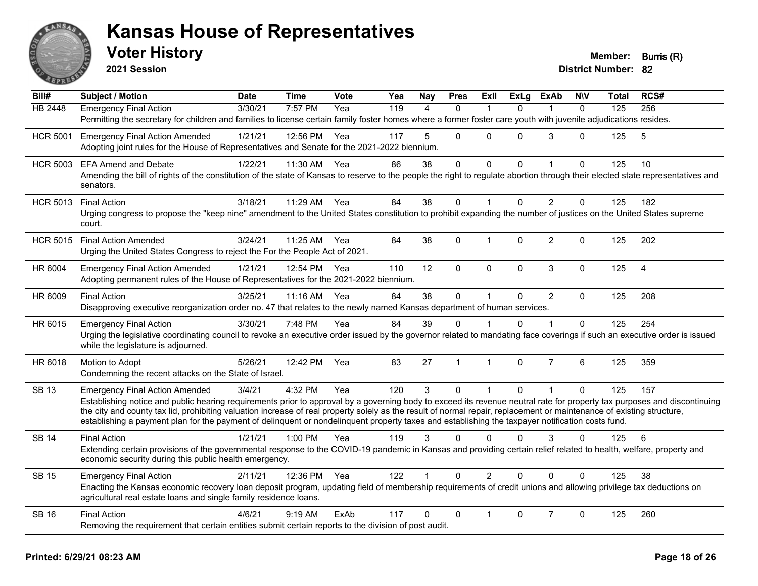

**2021 Session**

| Bill#           | <b>Subject / Motion</b>                                                                                                                                                                                                                                                                                                   | <b>Date</b> | <b>Time</b>  | Vote | Yea              | Nay            | <b>Pres</b>  | Exll           | <b>ExLg</b>  | <b>ExAb</b>    | <b>NIV</b>   | Total | RCS#           |
|-----------------|---------------------------------------------------------------------------------------------------------------------------------------------------------------------------------------------------------------------------------------------------------------------------------------------------------------------------|-------------|--------------|------|------------------|----------------|--------------|----------------|--------------|----------------|--------------|-------|----------------|
| <b>HB 2448</b>  | <b>Emergency Final Action</b>                                                                                                                                                                                                                                                                                             | 3/30/21     | 7:57 PM      | Yea  | $\overline{119}$ | $\overline{A}$ | $\Omega$     |                | $\Omega$     |                | $\Omega$     | 125   | 256            |
|                 | Permitting the secretary for children and families to license certain family foster homes where a former foster care youth with juvenile adjudications resides.                                                                                                                                                           |             |              |      |                  |                |              |                |              |                |              |       |                |
| <b>HCR 5001</b> | <b>Emergency Final Action Amended</b>                                                                                                                                                                                                                                                                                     | 1/21/21     | 12:56 PM     | Yea  | 117              | 5              | $\Omega$     | $\Omega$       | $\Omega$     | 3              | $\Omega$     | 125   | 5              |
|                 | Adopting joint rules for the House of Representatives and Senate for the 2021-2022 biennium.                                                                                                                                                                                                                              |             |              |      |                  |                |              |                |              |                |              |       |                |
| <b>HCR 5003</b> | <b>EFA Amend and Debate</b>                                                                                                                                                                                                                                                                                               | 1/22/21     | 11:30 AM     | Yea  | 86               | 38             | 0            | 0              | $\Omega$     | 1              | 0            | 125   | 10             |
|                 | Amending the bill of rights of the constitution of the state of Kansas to reserve to the people the right to regulate abortion through their elected state representatives and<br>senators.                                                                                                                               |             |              |      |                  |                |              |                |              |                |              |       |                |
| <b>HCR 5013</b> | <b>Final Action</b>                                                                                                                                                                                                                                                                                                       | 3/18/21     | 11:29 AM     | Yea  | 84               | 38             | $\mathbf 0$  | $\mathbf{1}$   | $\mathbf{0}$ | $\overline{2}$ | $\mathbf 0$  | 125   | 182            |
|                 | Urging congress to propose the "keep nine" amendment to the United States constitution to prohibit expanding the number of justices on the United States supreme<br>court.                                                                                                                                                |             |              |      |                  |                |              |                |              |                |              |       |                |
| <b>HCR 5015</b> | <b>Final Action Amended</b>                                                                                                                                                                                                                                                                                               | 3/24/21     | 11:25 AM Yea |      | 84               | 38             | 0            | 1              | $\Omega$     | $\overline{2}$ | 0            | 125   | 202            |
|                 | Urging the United States Congress to reject the For the People Act of 2021.                                                                                                                                                                                                                                               |             |              |      |                  |                |              |                |              |                |              |       |                |
| HR 6004         | <b>Emergency Final Action Amended</b>                                                                                                                                                                                                                                                                                     | 1/21/21     | 12:54 PM     | Yea  | 110              | 12             | $\Omega$     | $\Omega$       | $\Omega$     | 3              | $\mathbf{0}$ | 125   | $\overline{4}$ |
|                 | Adopting permanent rules of the House of Representatives for the 2021-2022 biennium.                                                                                                                                                                                                                                      |             |              |      |                  |                |              |                |              |                |              |       |                |
| HR 6009         | <b>Final Action</b>                                                                                                                                                                                                                                                                                                       | 3/25/21     | 11:16 AM     | Yea  | 84               | 38             | $\mathbf 0$  | $\mathbf{1}$   | $\Omega$     | $\overline{2}$ | $\mathbf 0$  | 125   | 208            |
|                 | Disapproving executive reorganization order no. 47 that relates to the newly named Kansas department of human services.                                                                                                                                                                                                   |             |              |      |                  |                |              |                |              |                |              |       |                |
| HR 6015         | <b>Emergency Final Action</b>                                                                                                                                                                                                                                                                                             | 3/30/21     | 7:48 PM      | Yea  | 84               | 39             | $\Omega$     |                | 0            | 1              | 0            | 125   | 254            |
|                 | Urging the legislative coordinating council to revoke an executive order issued by the governor related to mandating face coverings if such an executive order is issued<br>while the legislature is adjourned.                                                                                                           |             |              |      |                  |                |              |                |              |                |              |       |                |
| HR 6018         | Motion to Adopt                                                                                                                                                                                                                                                                                                           | 5/26/21     | 12:42 PM     | Yea  | 83               | 27             | $\mathbf{1}$ | $\mathbf{1}$   | 0            | $\overline{7}$ | 6            | 125   | 359            |
|                 | Condemning the recent attacks on the State of Israel.                                                                                                                                                                                                                                                                     |             |              |      |                  |                |              |                |              |                |              |       |                |
| <b>SB 13</b>    | <b>Emergency Final Action Amended</b>                                                                                                                                                                                                                                                                                     | 3/4/21      | 4:32 PM      | Yea  | 120              | 3              | $\Omega$     | $\mathbf 1$    | $\Omega$     | 1              | 0            | 125   | 157            |
|                 | Establishing notice and public hearing requirements prior to approval by a governing body to exceed its revenue neutral rate for property tax purposes and discontinuing                                                                                                                                                  |             |              |      |                  |                |              |                |              |                |              |       |                |
|                 | the city and county tax lid, prohibiting valuation increase of real property solely as the result of normal repair, replacement or maintenance of existing structure,<br>establishing a payment plan for the payment of delinquent or nondelinquent property taxes and establishing the taxpayer notification costs fund. |             |              |      |                  |                |              |                |              |                |              |       |                |
|                 |                                                                                                                                                                                                                                                                                                                           |             |              |      |                  |                |              |                |              |                |              |       |                |
| <b>SB 14</b>    | <b>Final Action</b>                                                                                                                                                                                                                                                                                                       | 1/21/21     | 1:00 PM      | Yea  | 119              | 3              | $\Omega$     | $\Omega$       | 0            | 3              | 0            | 125   | 6              |
|                 | Extending certain provisions of the governmental response to the COVID-19 pandemic in Kansas and providing certain relief related to health, welfare, property and<br>economic security during this public health emergency.                                                                                              |             |              |      |                  |                |              |                |              |                |              |       |                |
| <b>SB 15</b>    | <b>Emergency Final Action</b>                                                                                                                                                                                                                                                                                             | 2/11/21     | 12:36 PM     | Yea  | 122              | $\mathbf{1}$   | $\Omega$     | $\overline{2}$ | $\Omega$     | $\Omega$       | $\Omega$     | 125   | 38             |
|                 | Enacting the Kansas economic recovery loan deposit program, updating field of membership requirements of credit unions and allowing privilege tax deductions on<br>agricultural real estate loans and single family residence loans.                                                                                      |             |              |      |                  |                |              |                |              |                |              |       |                |
| <b>SB 16</b>    | <b>Final Action</b>                                                                                                                                                                                                                                                                                                       | 4/6/21      | 9:19 AM      | ExAb | 117              | 0              | 0            |                | $\Omega$     | $\overline{7}$ | 0            | 125   | 260            |
|                 | Removing the requirement that certain entities submit certain reports to the division of post audit.                                                                                                                                                                                                                      |             |              |      |                  |                |              |                |              |                |              |       |                |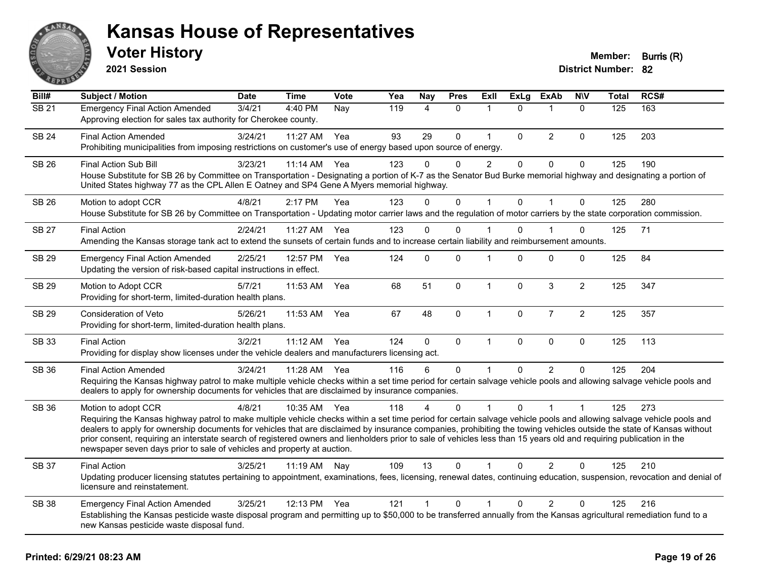

**2021 Session**

| Bill#             | <b>Subject / Motion</b>                                                                                                                                                                                                                                                                                                                                                                                                                                                                                                                                                                                                  | <b>Date</b> | <b>Time</b> | <b>Vote</b> | Yea | <b>Nay</b>     | <b>Pres</b>  | Exll           | <b>ExLg</b>  | <b>ExAb</b>    | <b>NIV</b>     | <b>Total</b> | RCS# |
|-------------------|--------------------------------------------------------------------------------------------------------------------------------------------------------------------------------------------------------------------------------------------------------------------------------------------------------------------------------------------------------------------------------------------------------------------------------------------------------------------------------------------------------------------------------------------------------------------------------------------------------------------------|-------------|-------------|-------------|-----|----------------|--------------|----------------|--------------|----------------|----------------|--------------|------|
| $\overline{SB21}$ | <b>Emergency Final Action Amended</b><br>Approving election for sales tax authority for Cherokee county.                                                                                                                                                                                                                                                                                                                                                                                                                                                                                                                 | 3/4/21      | 4:40 PM     | Nay         | 119 | $\overline{4}$ | $\mathbf 0$  | $\mathbf{1}$   | $\Omega$     | $\mathbf{1}$   | $\mathbf{0}$   | 125          | 163  |
| <b>SB 24</b>      | <b>Final Action Amended</b><br>Prohibiting municipalities from imposing restrictions on customer's use of energy based upon source of energy.                                                                                                                                                                                                                                                                                                                                                                                                                                                                            | 3/24/21     | 11:27 AM    | Yea         | 93  | 29             | $\pmb{0}$    | $\mathbf{1}$   | $\mathbf 0$  | $\overline{c}$ | $\mathbf 0$    | 125          | 203  |
| SB 26             | <b>Final Action Sub Bill</b><br>House Substitute for SB 26 by Committee on Transportation - Designating a portion of K-7 as the Senator Bud Burke memorial highway and designating a portion of<br>United States highway 77 as the CPL Allen E Oatney and SP4 Gene A Myers memorial highway.                                                                                                                                                                                                                                                                                                                             | 3/23/21     | 11:14 AM    | Yea         | 123 | $\Omega$       | $\mathbf{0}$ | $\overline{c}$ | $\Omega$     | $\mathbf 0$    | $\mathbf{0}$   | 125          | 190  |
| <b>SB 26</b>      | Motion to adopt CCR<br>House Substitute for SB 26 by Committee on Transportation - Updating motor carrier laws and the regulation of motor carriers by the state corporation commission.                                                                                                                                                                                                                                                                                                                                                                                                                                 | 4/8/21      | 2:17 PM     | Yea         | 123 | $\Omega$       | $\mathbf 0$  |                | $\mathbf{0}$ | 1              | $\mathbf{0}$   | 125          | 280  |
| <b>SB 27</b>      | <b>Final Action</b><br>Amending the Kansas storage tank act to extend the sunsets of certain funds and to increase certain liability and reimbursement amounts.                                                                                                                                                                                                                                                                                                                                                                                                                                                          | 2/24/21     | 11:27 AM    | Yea         | 123 | $\mathbf 0$    | 0            | 1              | $\Omega$     |                | $\Omega$       | 125          | 71   |
| <b>SB 29</b>      | <b>Emergency Final Action Amended</b><br>Updating the version of risk-based capital instructions in effect.                                                                                                                                                                                                                                                                                                                                                                                                                                                                                                              | 2/25/21     | 12:57 PM    | Yea         | 124 | $\mathbf{0}$   | $\mathbf 0$  | 1              | $\Omega$     | $\pmb{0}$      | 0              | 125          | 84   |
| <b>SB 29</b>      | Motion to Adopt CCR<br>Providing for short-term, limited-duration health plans.                                                                                                                                                                                                                                                                                                                                                                                                                                                                                                                                          | 5/7/21      | 11:53 AM    | Yea         | 68  | 51             | $\mathbf 0$  | $\mathbf{1}$   | $\Omega$     | 3              | $\overline{c}$ | 125          | 347  |
| SB 29             | Consideration of Veto<br>Providing for short-term, limited-duration health plans.                                                                                                                                                                                                                                                                                                                                                                                                                                                                                                                                        | 5/26/21     | 11:53 AM    | Yea         | 67  | 48             | $\mathbf 0$  | $\mathbf{1}$   | 0            | $\overline{7}$ | $\overline{2}$ | 125          | 357  |
| SB 33             | <b>Final Action</b><br>Providing for display show licenses under the vehicle dealers and manufacturers licensing act.                                                                                                                                                                                                                                                                                                                                                                                                                                                                                                    | 3/2/21      | $11:12$ AM  | Yea         | 124 | $\Omega$       | $\mathbf{0}$ | $\mathbf{1}$   | $\Omega$     | $\mathbf{0}$   | $\mathbf{0}$   | 125          | 113  |
| SB 36             | <b>Final Action Amended</b><br>Requiring the Kansas highway patrol to make multiple vehicle checks within a set time period for certain salvage vehicle pools and allowing salvage vehicle pools and<br>dealers to apply for ownership documents for vehicles that are disclaimed by insurance companies.                                                                                                                                                                                                                                                                                                                | 3/24/21     | 11:28 AM    | Yea         | 116 | 6              | $\mathbf 0$  | 1              | $\Omega$     | 2              | $\Omega$       | 125          | 204  |
| <b>SB 36</b>      | Motion to adopt CCR<br>Requiring the Kansas highway patrol to make multiple vehicle checks within a set time period for certain salvage vehicle pools and allowing salvage vehicle pools and<br>dealers to apply for ownership documents for vehicles that are disclaimed by insurance companies, prohibiting the towing vehicles outside the state of Kansas without<br>prior consent, requiring an interstate search of registered owners and lienholders prior to sale of vehicles less than 15 years old and requiring publication in the<br>newspaper seven days prior to sale of vehicles and property at auction. | 4/8/21      | 10:35 AM    | Yea         | 118 |                | 0            |                | $\Omega$     |                | 1              | 125          | 273  |
| <b>SB 37</b>      | <b>Final Action</b><br>Updating producer licensing statutes pertaining to appointment, examinations, fees, licensing, renewal dates, continuing education, suspension, revocation and denial of<br>licensure and reinstatement.                                                                                                                                                                                                                                                                                                                                                                                          | 3/25/21     | 11:19 AM    | Nay         | 109 | 13             | $\Omega$     |                | $\Omega$     | $\overline{2}$ | 0              | 125          | 210  |
| <b>SB 38</b>      | <b>Emergency Final Action Amended</b><br>Establishing the Kansas pesticide waste disposal program and permitting up to \$50,000 to be transferred annually from the Kansas agricultural remediation fund to a<br>new Kansas pesticide waste disposal fund.                                                                                                                                                                                                                                                                                                                                                               | 3/25/21     | 12:13 PM    | Yea         | 121 | $\mathbf{1}$   | $\Omega$     | 1              | $\Omega$     | $\overline{2}$ | $\Omega$       | 125          | 216  |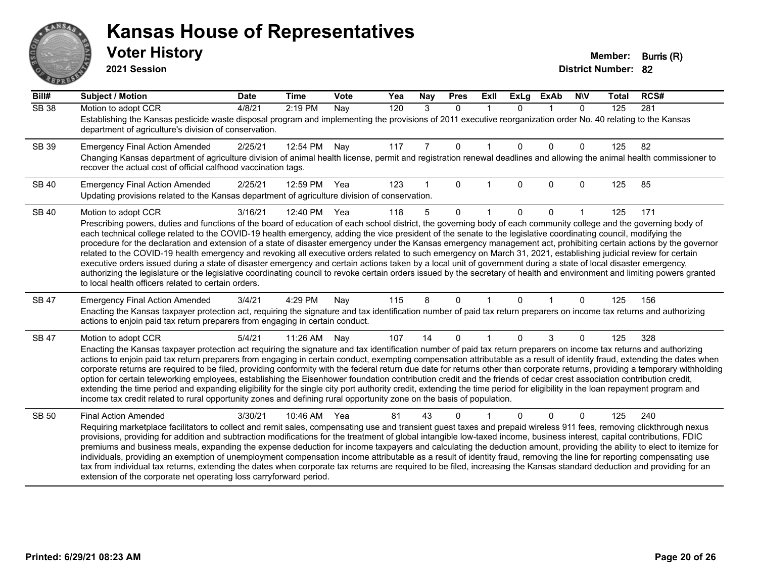# ANS **PARTIE**

#### **Kansas House of Representatives**

**2021 Session**

| Bill#        | <b>Subject / Motion</b>                                                                                                                                                                                                                                                                                                                                    | <b>Date</b> | <b>Time</b> | <b>Vote</b> | Yea | Nay | <b>Pres</b>  | ExIl | <b>ExLg</b> | <b>ExAb</b>    | <b>NIV</b> | <b>Total</b> | RCS# |
|--------------|------------------------------------------------------------------------------------------------------------------------------------------------------------------------------------------------------------------------------------------------------------------------------------------------------------------------------------------------------------|-------------|-------------|-------------|-----|-----|--------------|------|-------------|----------------|------------|--------------|------|
| <b>SB 38</b> | Motion to adopt CCR                                                                                                                                                                                                                                                                                                                                        | 4/8/21      | 2:19 PM     | Nay         | 120 | 3   | $\Omega$     | 1    | $\Omega$    | $\overline{1}$ | $\Omega$   | 125          | 281  |
|              | Establishing the Kansas pesticide waste disposal program and implementing the provisions of 2011 executive reorganization order No. 40 relating to the Kansas<br>department of agriculture's division of conservation.                                                                                                                                     |             |             |             |     |     |              |      |             |                |            |              |      |
| SB 39        | <b>Emergency Final Action Amended</b>                                                                                                                                                                                                                                                                                                                      | 2/25/21     | 12:54 PM    | Nay         | 117 | 7   | $\mathbf 0$  |      | $\Omega$    | $\Omega$       | $\Omega$   | 125          | 82   |
|              | Changing Kansas department of agriculture division of animal health license, permit and registration renewal deadlines and allowing the animal health commissioner to<br>recover the actual cost of official calfhood vaccination tags.                                                                                                                    |             |             |             |     |     |              |      |             |                |            |              |      |
| <b>SB 40</b> | <b>Emergency Final Action Amended</b>                                                                                                                                                                                                                                                                                                                      | 2/25/21     | 12:59 PM    | Yea         | 123 |     | 0            |      | 0           | $\Omega$       | 0          | 125          | 85   |
|              | Updating provisions related to the Kansas department of agriculture division of conservation.                                                                                                                                                                                                                                                              |             |             |             |     |     |              |      |             |                |            |              |      |
| <b>SB 40</b> | Motion to adopt CCR                                                                                                                                                                                                                                                                                                                                        | 3/16/21     | 12:40 PM    | Yea         | 118 | 5   | $\Omega$     |      | $\Omega$    | $\Omega$       |            | 125          | 171  |
|              | Prescribing powers, duties and functions of the board of education of each school district, the governing body of each community college and the governing body of                                                                                                                                                                                         |             |             |             |     |     |              |      |             |                |            |              |      |
|              | each technical college related to the COVID-19 health emergency, adding the vice president of the senate to the legislative coordinating council, modifying the<br>procedure for the declaration and extension of a state of disaster emergency under the Kansas emergency management act, prohibiting certain actions by the governor                     |             |             |             |     |     |              |      |             |                |            |              |      |
|              | related to the COVID-19 health emergency and revoking all executive orders related to such emergency on March 31, 2021, establishing judicial review for certain                                                                                                                                                                                           |             |             |             |     |     |              |      |             |                |            |              |      |
|              | executive orders issued during a state of disaster emergency and certain actions taken by a local unit of government during a state of local disaster emergency,<br>authorizing the legislature or the legislative coordinating council to revoke certain orders issued by the secretary of health and environment and limiting powers granted             |             |             |             |     |     |              |      |             |                |            |              |      |
|              | to local health officers related to certain orders.                                                                                                                                                                                                                                                                                                        |             |             |             |     |     |              |      |             |                |            |              |      |
| SB 47        | <b>Emergency Final Action Amended</b>                                                                                                                                                                                                                                                                                                                      | 3/4/21      | 4:29 PM     | Nay         | 115 | 8   | $\Omega$     |      | $\Omega$    |                | 0          | 125          | 156  |
|              | Enacting the Kansas taxpayer protection act, requiring the signature and tax identification number of paid tax return preparers on income tax returns and authorizing<br>actions to enjoin paid tax return preparers from engaging in certain conduct.                                                                                                     |             |             |             |     |     |              |      |             |                |            |              |      |
| <b>SB 47</b> | Motion to adopt CCR                                                                                                                                                                                                                                                                                                                                        | 5/4/21      | 11:26 AM    | Nay         | 107 | 14  | $\mathbf{0}$ |      | 0           | 3              | 0          | 125          | 328  |
|              | Enacting the Kansas taxpayer protection act requiring the signature and tax identification number of paid tax return preparers on income tax returns and authorizing                                                                                                                                                                                       |             |             |             |     |     |              |      |             |                |            |              |      |
|              | actions to enjoin paid tax return preparers from engaging in certain conduct, exempting compensation attributable as a result of identity fraud, extending the dates when<br>corporate returns are required to be filed, providing conformity with the federal return due date for returns other than corporate returns, providing a temporary withholding |             |             |             |     |     |              |      |             |                |            |              |      |
|              | option for certain teleworking employees, establishing the Eisenhower foundation contribution credit and the friends of cedar crest association contribution credit,                                                                                                                                                                                       |             |             |             |     |     |              |      |             |                |            |              |      |
|              | extending the time period and expanding eligibility for the single city port authority credit, extending the time period for eligibility in the loan repayment program and<br>income tax credit related to rural opportunity zones and defining rural opportunity zone on the basis of population.                                                         |             |             |             |     |     |              |      |             |                |            |              |      |
|              |                                                                                                                                                                                                                                                                                                                                                            |             |             |             |     |     |              |      |             |                |            |              |      |
| <b>SB 50</b> | <b>Final Action Amended</b><br>Requiring marketplace facilitators to collect and remit sales, compensating use and transient guest taxes and prepaid wireless 911 fees, removing clickthrough nexus                                                                                                                                                        | 3/30/21     | 10:46 AM    | Yea         | 81  | 43  | ŋ            |      |             | $\Omega$       | 0          | 125          | 240  |
|              | provisions, providing for addition and subtraction modifications for the treatment of global intangible low-taxed income, business interest, capital contributions, FDIC                                                                                                                                                                                   |             |             |             |     |     |              |      |             |                |            |              |      |
|              | premiums and business meals, expanding the expense deduction for income taxpayers and calculating the deduction amount, providing the ability to elect to itemize for                                                                                                                                                                                      |             |             |             |     |     |              |      |             |                |            |              |      |
|              | individuals, providing an exemption of unemployment compensation income attributable as a result of identity fraud, removing the line for reporting compensating use<br>tax from individual tax returns, extending the dates when corporate tax returns are required to be filed, increasing the Kansas standard deduction and providing for an            |             |             |             |     |     |              |      |             |                |            |              |      |
|              | extension of the corporate net operating loss carryforward period.                                                                                                                                                                                                                                                                                         |             |             |             |     |     |              |      |             |                |            |              |      |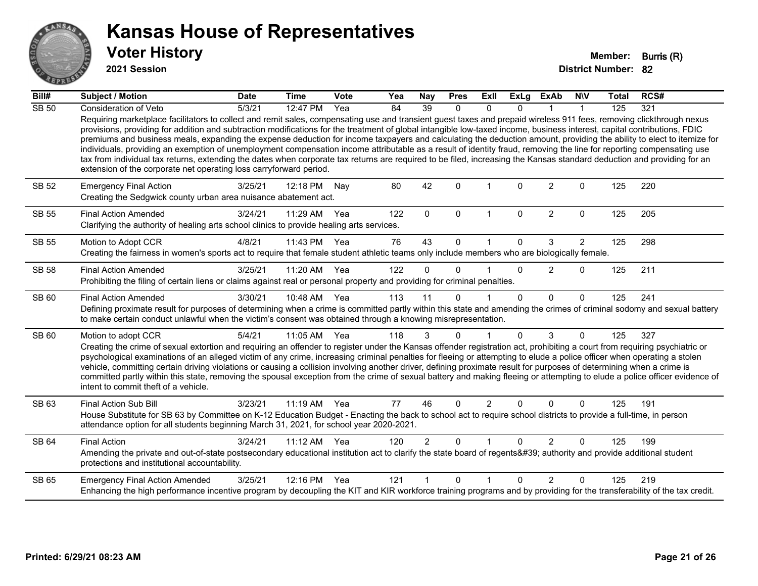

**2021 Session**

| Bill#        | <b>Subject / Motion</b>                                                                                                                                                                                                                                                                                                                                                                                                                                                                                                                                                                                                                                                                                                                                                                                                                                                                                                                            | <b>Date</b> | <b>Time</b>  | <b>Vote</b>       | Yea | Nay            | <b>Pres</b> | Exll           | <b>ExLg</b> | <b>ExAb</b>    | <b>NIV</b>   | <b>Total</b> | RCS# |
|--------------|----------------------------------------------------------------------------------------------------------------------------------------------------------------------------------------------------------------------------------------------------------------------------------------------------------------------------------------------------------------------------------------------------------------------------------------------------------------------------------------------------------------------------------------------------------------------------------------------------------------------------------------------------------------------------------------------------------------------------------------------------------------------------------------------------------------------------------------------------------------------------------------------------------------------------------------------------|-------------|--------------|-------------------|-----|----------------|-------------|----------------|-------------|----------------|--------------|--------------|------|
| <b>SB 50</b> | <b>Consideration of Veto</b>                                                                                                                                                                                                                                                                                                                                                                                                                                                                                                                                                                                                                                                                                                                                                                                                                                                                                                                       | 5/3/21      | 12:47 PM     | $\overline{Y}$ ea | 84  | 39             | $\Omega$    | $\mathbf{0}$   | $\Omega$    |                | $\mathbf{1}$ | 125          | 321  |
|              | Requiring marketplace facilitators to collect and remit sales, compensating use and transient guest taxes and prepaid wireless 911 fees, removing clickthrough nexus<br>provisions, providing for addition and subtraction modifications for the treatment of global intangible low-taxed income, business interest, capital contributions, FDIC<br>premiums and business meals, expanding the expense deduction for income taxpayers and calculating the deduction amount, providing the ability to elect to itemize for<br>individuals, providing an exemption of unemployment compensation income attributable as a result of identity fraud, removing the line for reporting compensating use<br>tax from individual tax returns, extending the dates when corporate tax returns are required to be filed, increasing the Kansas standard deduction and providing for an<br>extension of the corporate net operating loss carryforward period. |             |              |                   |     |                |             |                |             |                |              |              |      |
| <b>SB 52</b> | <b>Emergency Final Action</b><br>Creating the Sedgwick county urban area nuisance abatement act.                                                                                                                                                                                                                                                                                                                                                                                                                                                                                                                                                                                                                                                                                                                                                                                                                                                   | 3/25/21     | 12:18 PM     | Nay               | 80  | 42             | $\Omega$    |                | $\Omega$    | $\overline{2}$ | $\Omega$     | 125          | 220  |
| <b>SB 55</b> | <b>Final Action Amended</b><br>Clarifying the authority of healing arts school clinics to provide healing arts services.                                                                                                                                                                                                                                                                                                                                                                                                                                                                                                                                                                                                                                                                                                                                                                                                                           | 3/24/21     | 11:29 AM     | Yea               | 122 | $\mathbf 0$    | $\mathbf 0$ | $\mathbf{1}$   | $\mathbf 0$ | $\overline{2}$ | $\mathbf{0}$ | 125          | 205  |
| <b>SB 55</b> | Motion to Adopt CCR                                                                                                                                                                                                                                                                                                                                                                                                                                                                                                                                                                                                                                                                                                                                                                                                                                                                                                                                | 4/8/21      | 11:43 PM Yea |                   | 76  | 43             | $\Omega$    |                | $\Omega$    | 3              | 2            | 125          | 298  |
|              | Creating the fairness in women's sports act to require that female student athletic teams only include members who are biologically female.                                                                                                                                                                                                                                                                                                                                                                                                                                                                                                                                                                                                                                                                                                                                                                                                        |             |              |                   |     |                |             |                |             |                |              |              |      |
| <b>SB 58</b> | <b>Final Action Amended</b>                                                                                                                                                                                                                                                                                                                                                                                                                                                                                                                                                                                                                                                                                                                                                                                                                                                                                                                        | 3/25/21     | 11:20 AM Yea |                   | 122 | $\Omega$       | $\Omega$    |                | $\Omega$    | 2              | $\Omega$     | 125          | 211  |
|              | Prohibiting the filing of certain liens or claims against real or personal property and providing for criminal penalties.                                                                                                                                                                                                                                                                                                                                                                                                                                                                                                                                                                                                                                                                                                                                                                                                                          |             |              |                   |     |                |             |                |             |                |              |              |      |
| SB 60        | <b>Final Action Amended</b>                                                                                                                                                                                                                                                                                                                                                                                                                                                                                                                                                                                                                                                                                                                                                                                                                                                                                                                        | 3/30/21     | 10:48 AM Yea |                   | 113 | 11             | $\Omega$    |                | $\Omega$    | $\Omega$       | $\Omega$     | 125          | 241  |
|              | Defining proximate result for purposes of determining when a crime is committed partly within this state and amending the crimes of criminal sodomy and sexual battery<br>to make certain conduct unlawful when the victim's consent was obtained through a knowing misrepresentation.                                                                                                                                                                                                                                                                                                                                                                                                                                                                                                                                                                                                                                                             |             |              |                   |     |                |             |                |             |                |              |              |      |
| <b>SB 60</b> | Motion to adopt CCR                                                                                                                                                                                                                                                                                                                                                                                                                                                                                                                                                                                                                                                                                                                                                                                                                                                                                                                                | 5/4/21      | 11:05 AM Yea |                   | 118 | 3              | $\Omega$    |                | $\Omega$    | 3              | $\mathbf 0$  | 125          | 327  |
|              | Creating the crime of sexual extortion and requiring an offender to register under the Kansas offender registration act, prohibiting a court from requiring psychiatric or<br>psychological examinations of an alleged victim of any crime, increasing criminal penalties for fleeing or attempting to elude a police officer when operating a stolen<br>vehicle, committing certain driving violations or causing a collision involving another driver, defining proximate result for purposes of determining when a crime is<br>committed partly within this state, removing the spousal exception from the crime of sexual battery and making fleeing or attempting to elude a police officer evidence of<br>intent to commit theft of a vehicle.                                                                                                                                                                                               |             |              |                   |     |                |             |                |             |                |              |              |      |
| SB 63        | <b>Final Action Sub Bill</b>                                                                                                                                                                                                                                                                                                                                                                                                                                                                                                                                                                                                                                                                                                                                                                                                                                                                                                                       | 3/23/21     | 11:19 AM Yea |                   | 77  | 46             | $\Omega$    | $\overline{2}$ | $\Omega$    | $\Omega$       | $\Omega$     | 125          | 191  |
|              | House Substitute for SB 63 by Committee on K-12 Education Budget - Enacting the back to school act to require school districts to provide a full-time, in person<br>attendance option for all students beginning March 31, 2021, for school year 2020-2021.                                                                                                                                                                                                                                                                                                                                                                                                                                                                                                                                                                                                                                                                                        |             |              |                   |     |                |             |                |             |                |              |              |      |
| SB 64        | <b>Final Action</b>                                                                                                                                                                                                                                                                                                                                                                                                                                                                                                                                                                                                                                                                                                                                                                                                                                                                                                                                | 3/24/21     | $11:12$ AM   | Yea               | 120 | $\overline{2}$ | $\Omega$    |                | $\Omega$    | 2              | $\Omega$     | 125          | 199  |
|              | Amending the private and out-of-state postsecondary educational institution act to clarify the state board of regents' authority and provide additional student<br>protections and institutional accountability.                                                                                                                                                                                                                                                                                                                                                                                                                                                                                                                                                                                                                                                                                                                                   |             |              |                   |     |                |             |                |             |                |              |              |      |
| <b>SB 65</b> | <b>Emergency Final Action Amended</b>                                                                                                                                                                                                                                                                                                                                                                                                                                                                                                                                                                                                                                                                                                                                                                                                                                                                                                              | 3/25/21     | 12:16 PM     | Yea               | 121 |                | $\Omega$    |                | $\Omega$    | $\mathcal{P}$  | $\Omega$     | 125          | 219  |
|              | Enhancing the high performance incentive program by decoupling the KIT and KIR workforce training programs and by providing for the transferability of the tax credit.                                                                                                                                                                                                                                                                                                                                                                                                                                                                                                                                                                                                                                                                                                                                                                             |             |              |                   |     |                |             |                |             |                |              |              |      |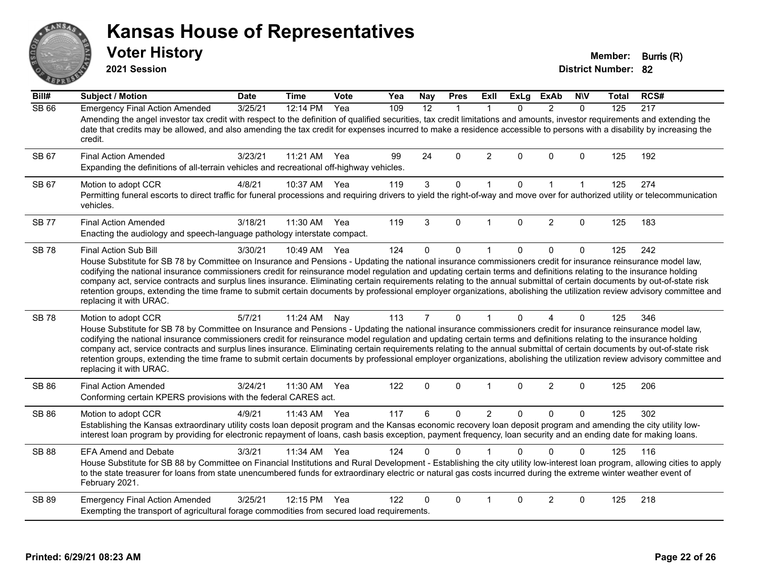#### ANS Erry  $E$   $\mathbf{F}$

#### **Kansas House of Representatives**

**2021 Session**

**Voter History Member: Burris (R)** 

| Bill#        | Subject / Motion                                                                                                                                                                                                                                                                                                                                                                                                                                                                                                                                                                                                                                                                                                                                      | <b>Date</b> | <b>Time</b> | Vote | Yea | <b>Nay</b>     | <b>Pres</b>  | <b>Exll</b>    | <b>ExLg</b>  | <b>ExAb</b>    | <b>NIV</b>   | Total | RCS# |
|--------------|-------------------------------------------------------------------------------------------------------------------------------------------------------------------------------------------------------------------------------------------------------------------------------------------------------------------------------------------------------------------------------------------------------------------------------------------------------------------------------------------------------------------------------------------------------------------------------------------------------------------------------------------------------------------------------------------------------------------------------------------------------|-------------|-------------|------|-----|----------------|--------------|----------------|--------------|----------------|--------------|-------|------|
| <b>SB 66</b> | <b>Emergency Final Action Amended</b><br>Amending the angel investor tax credit with respect to the definition of qualified securities, tax credit limitations and amounts, investor requirements and extending the                                                                                                                                                                                                                                                                                                                                                                                                                                                                                                                                   | 3/25/21     | 12:14 PM    | Yea  | 109 | 12             | $\mathbf{1}$ | $\mathbf 1$    | $\Omega$     | $\overline{2}$ | $\Omega$     | 125   | 217  |
|              | date that credits may be allowed, and also amending the tax credit for expenses incurred to make a residence accessible to persons with a disability by increasing the<br>credit.                                                                                                                                                                                                                                                                                                                                                                                                                                                                                                                                                                     |             |             |      |     |                |              |                |              |                |              |       |      |
| SB 67        | <b>Final Action Amended</b><br>Expanding the definitions of all-terrain vehicles and recreational off-highway vehicles.                                                                                                                                                                                                                                                                                                                                                                                                                                                                                                                                                                                                                               | 3/23/21     | 11:21 AM    | Yea  | 99  | 24             | $\Omega$     | 2              | $\mathbf{0}$ | $\Omega$       | $\mathbf 0$  | 125   | 192  |
| SB 67        | Motion to adopt CCR<br>Permitting funeral escorts to direct traffic for funeral processions and requiring drivers to yield the right-of-way and move over for authorized utility or telecommunication<br>vehicles.                                                                                                                                                                                                                                                                                                                                                                                                                                                                                                                                    | 4/8/21      | 10:37 AM    | Yea  | 119 | $\mathbf{3}$   | 0            | $\mathbf{1}$   | $\mathbf{0}$ | $\overline{1}$ | $\mathbf{1}$ | 125   | 274  |
| <b>SB 77</b> | <b>Final Action Amended</b><br>Enacting the audiology and speech-language pathology interstate compact.                                                                                                                                                                                                                                                                                                                                                                                                                                                                                                                                                                                                                                               | 3/18/21     | 11:30 AM    | Yea  | 119 | 3              | $\Omega$     | $\mathbf{1}$   | $\Omega$     | $\overline{2}$ | 0            | 125   | 183  |
| <b>SB78</b>  | <b>Final Action Sub Bill</b><br>House Substitute for SB 78 by Committee on Insurance and Pensions - Updating the national insurance commissioners credit for insurance reinsurance model law,<br>codifying the national insurance commissioners credit for reinsurance model regulation and updating certain terms and definitions relating to the insurance holding<br>company act, service contracts and surplus lines insurance. Eliminating certain requirements relating to the annual submittal of certain documents by out-of-state risk<br>retention groups, extending the time frame to submit certain documents by professional employer organizations, abolishing the utilization review advisory committee and<br>replacing it with URAC. | 3/30/21     | 10:49 AM    | Yea  | 124 | $\Omega$       | $\Omega$     | $\mathbf{1}$   | $\mathbf{0}$ | $\Omega$       | $\Omega$     | 125   | 242  |
| <b>SB78</b>  | Motion to adopt CCR<br>House Substitute for SB 78 by Committee on Insurance and Pensions - Updating the national insurance commissioners credit for insurance reinsurance model law,<br>codifying the national insurance commissioners credit for reinsurance model regulation and updating certain terms and definitions relating to the insurance holding<br>company act, service contracts and surplus lines insurance. Eliminating certain requirements relating to the annual submittal of certain documents by out-of-state risk<br>retention groups, extending the time frame to submit certain documents by professional employer organizations, abolishing the utilization review advisory committee and<br>replacing it with URAC.          | 5/7/21      | 11:24 AM    | Nay  | 113 | $\overline{7}$ | $\Omega$     | $\mathbf{1}$   | $\Omega$     | 4              | 0            | 125   | 346  |
| <b>SB 86</b> | <b>Final Action Amended</b><br>Conforming certain KPERS provisions with the federal CARES act.                                                                                                                                                                                                                                                                                                                                                                                                                                                                                                                                                                                                                                                        | 3/24/21     | 11:30 AM    | Yea  | 122 | 0              | $\Omega$     | $\mathbf{1}$   | $\Omega$     | $\overline{2}$ | 0            | 125   | 206  |
| SB 86        | Motion to adopt CCR<br>Establishing the Kansas extraordinary utility costs loan deposit program and the Kansas economic recovery loan deposit program and amending the city utility low-<br>interest loan program by providing for electronic repayment of loans, cash basis exception, payment frequency, loan security and an ending date for making loans.                                                                                                                                                                                                                                                                                                                                                                                         | 4/9/21      | 11:43 AM    | Yea  | 117 | 6              | 0            | $\overline{2}$ | $\Omega$     | $\Omega$       | 0            | 125   | 302  |
| <b>SB 88</b> | <b>EFA Amend and Debate</b><br>House Substitute for SB 88 by Committee on Financial Institutions and Rural Development - Establishing the city utility low-interest loan program, allowing cities to apply<br>to the state treasurer for loans from state unencumbered funds for extraordinary electric or natural gas costs incurred during the extreme winter weather event of<br>February 2021.                                                                                                                                                                                                                                                                                                                                                    | 3/3/21      | 11:34 AM    | Yea  | 124 | $\Omega$       | $\Omega$     |                | $\Omega$     | $\Omega$       | $\Omega$     | 125   | 116  |
| <b>SB 89</b> | <b>Emergency Final Action Amended</b><br>Exempting the transport of agricultural forage commodities from secured load requirements.                                                                                                                                                                                                                                                                                                                                                                                                                                                                                                                                                                                                                   | 3/25/21     | 12:15 PM    | Yea  | 122 | 0              | $\Omega$     |                | $\Omega$     | $\overline{2}$ | 0            | 125   | 218  |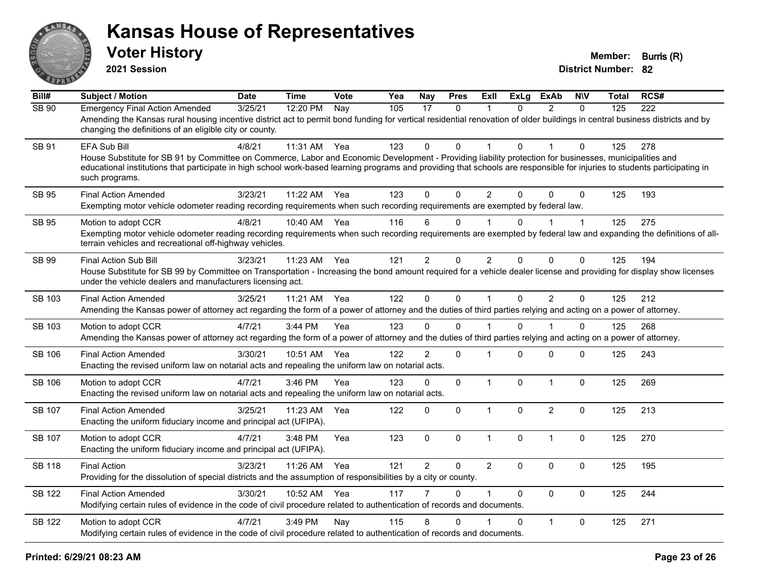

**2021 Session**

| Bill#         | <b>Subject / Motion</b>                                                                                                                                                                                                                                                                                                                                                 | <b>Date</b> | <b>Time</b> | Vote | Yea | Nay            | <b>Pres</b>    | ExIl           | <b>ExLg</b> | <b>ExAb</b>    | <b>NIV</b>   | Total | RCS# |
|---------------|-------------------------------------------------------------------------------------------------------------------------------------------------------------------------------------------------------------------------------------------------------------------------------------------------------------------------------------------------------------------------|-------------|-------------|------|-----|----------------|----------------|----------------|-------------|----------------|--------------|-------|------|
| <b>SB 90</b>  | <b>Emergency Final Action Amended</b><br>Amending the Kansas rural housing incentive district act to permit bond funding for vertical residential renovation of older buildings in central business districts and by<br>changing the definitions of an eligible city or county.                                                                                         | 3/25/21     | 12:20 PM    | Nay  | 105 | 17             | $\mathbf{0}$   | 1              | $\Omega$    | 2              | $\Omega$     | 125   | 222  |
| SB 91         | EFA Sub Bill<br>House Substitute for SB 91 by Committee on Commerce, Labor and Economic Development - Providing liability protection for businesses, municipalities and<br>educational institutions that participate in high school work-based learning programs and providing that schools are responsible for injuries to students participating in<br>such programs. | 4/8/21      | 11:31 AM    | Yea  | 123 | $\Omega$       | $\mathbf{0}$   | 1              | $\Omega$    |                | $\mathbf{0}$ | 125   | 278  |
| <b>SB 95</b>  | <b>Final Action Amended</b><br>Exempting motor vehicle odometer reading recording requirements when such recording requirements are exempted by federal law.                                                                                                                                                                                                            | 3/23/21     | 11:22 AM    | Yea  | 123 | $\Omega$       | $\mathbf{0}$   | $\overline{2}$ | $\Omega$    | $\Omega$       | $\mathbf{0}$ | 125   | 193  |
| SB 95         | Motion to adopt CCR<br>Exempting motor vehicle odometer reading recording requirements when such recording requirements are exempted by federal law and expanding the definitions of all-<br>terrain vehicles and recreational off-highway vehicles.                                                                                                                    | 4/8/21      | 10:40 AM    | Yea  | 116 | 6              | 0              |                | 0           |                | $\mathbf 1$  | 125   | 275  |
| SB 99         | <b>Final Action Sub Bill</b><br>House Substitute for SB 99 by Committee on Transportation - Increasing the bond amount required for a vehicle dealer license and providing for display show licenses<br>under the vehicle dealers and manufacturers licensing act.                                                                                                      | 3/23/21     | 11:23 AM    | Yea  | 121 | $\overline{2}$ | 0              | 2              | $\Omega$    | $\mathbf{0}$   | 0            | 125   | 194  |
| <b>SB 103</b> | <b>Final Action Amended</b><br>Amending the Kansas power of attorney act regarding the form of a power of attorney and the duties of third parties relying and acting on a power of attorney.                                                                                                                                                                           | 3/25/21     | 11:21 AM    | Yea  | 122 | $\mathbf 0$    | $\overline{0}$ | $\mathbf{1}$   | $\mathbf 0$ | $\overline{2}$ | $\mathbf 0$  | 125   | 212  |
| SB 103        | Motion to adopt CCR<br>Amending the Kansas power of attorney act regarding the form of a power of attorney and the duties of third parties relying and acting on a power of attorney.                                                                                                                                                                                   | 4/7/21      | $3:44$ PM   | Yea  | 123 | $\Omega$       | $\Omega$       |                | $\Omega$    |                | 0            | 125   | 268  |
| <b>SB 106</b> | <b>Final Action Amended</b><br>Enacting the revised uniform law on notarial acts and repealing the uniform law on notarial acts.                                                                                                                                                                                                                                        | 3/30/21     | 10:51 AM    | Yea  | 122 | $\overline{2}$ | $\mathbf 0$    | $\mathbf 1$    | $\Omega$    | $\mathbf{0}$   | 0            | 125   | 243  |
| <b>SB 106</b> | Motion to adopt CCR<br>Enacting the revised uniform law on notarial acts and repealing the uniform law on notarial acts.                                                                                                                                                                                                                                                | 4/7/21      | 3:46 PM     | Yea  | 123 | 0              | $\mathbf 0$    | $\mathbf{1}$   | $\mathbf 0$ | $\mathbf{1}$   | $\mathbf 0$  | 125   | 269  |
| <b>SB 107</b> | <b>Final Action Amended</b><br>Enacting the uniform fiduciary income and principal act (UFIPA).                                                                                                                                                                                                                                                                         | 3/25/21     | 11:23 AM    | Yea  | 122 | $\mathbf 0$    | 0              | $\mathbf{1}$   | $\Omega$    | $\overline{2}$ | $\mathbf 0$  | 125   | 213  |
| SB 107        | Motion to adopt CCR<br>Enacting the uniform fiduciary income and principal act (UFIPA).                                                                                                                                                                                                                                                                                 | 4/7/21      | 3:48 PM     | Yea  | 123 | $\mathbf 0$    | 0              | $\mathbf{1}$   | 0           | $\mathbf{1}$   | $\mathbf 0$  | 125   | 270  |
| SB 118        | <b>Final Action</b><br>Providing for the dissolution of special districts and the assumption of responsibilities by a city or county.                                                                                                                                                                                                                                   | 3/23/21     | 11:26 AM    | Yea  | 121 | $\overline{2}$ | 0              | $\overline{2}$ | $\Omega$    | $\mathbf 0$    | $\mathbf 0$  | 125   | 195  |
| <b>SB 122</b> | <b>Final Action Amended</b><br>Modifying certain rules of evidence in the code of civil procedure related to authentication of records and documents.                                                                                                                                                                                                                   | 3/30/21     | 10:52 AM    | Yea  | 117 | 7              | $\Omega$       | $\mathbf{1}$   | $\Omega$    | $\Omega$       | $\mathbf 0$  | 125   | 244  |
| <b>SB 122</b> | Motion to adopt CCR<br>Modifying certain rules of evidence in the code of civil procedure related to authentication of records and documents.                                                                                                                                                                                                                           | 4/7/21      | 3:49 PM     | Nay  | 115 | 8              | $\mathbf{0}$   |                | $\Omega$    | $\mathbf{1}$   | $\mathbf 0$  | 125   | 271  |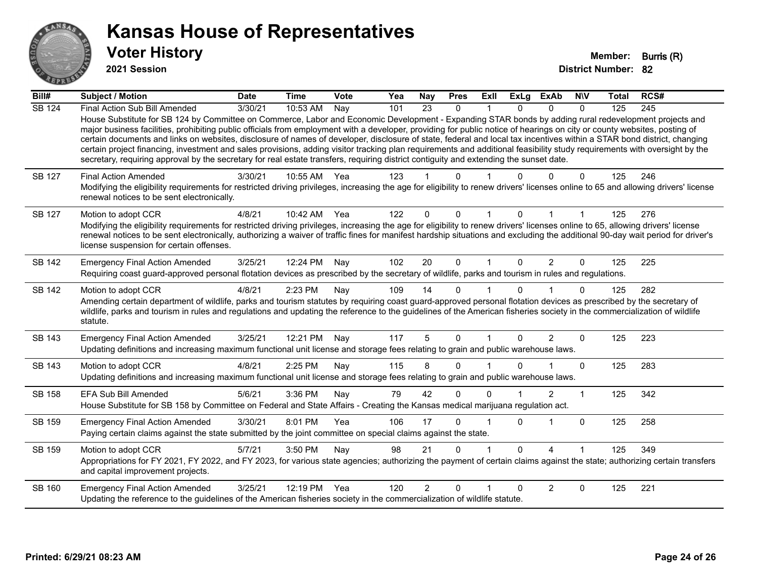

**2021 Session**

| Bill#         | Subject / Motion                                                                                                                                                                                                                                                                                                                                                                                                                                                                                                                                                                                                                                                                                                                                                                                                                                                     | <b>Date</b> | <b>Time</b>  | <b>Vote</b> | Yea | <b>Nay</b>      | <b>Pres</b>  | <b>Exll</b>    | <b>ExLg</b> | <b>ExAb</b> | <b>NIV</b>   | <b>Total</b> | RCS#             |
|---------------|----------------------------------------------------------------------------------------------------------------------------------------------------------------------------------------------------------------------------------------------------------------------------------------------------------------------------------------------------------------------------------------------------------------------------------------------------------------------------------------------------------------------------------------------------------------------------------------------------------------------------------------------------------------------------------------------------------------------------------------------------------------------------------------------------------------------------------------------------------------------|-------------|--------------|-------------|-----|-----------------|--------------|----------------|-------------|-------------|--------------|--------------|------------------|
| <b>SB 124</b> | Final Action Sub Bill Amended<br>House Substitute for SB 124 by Committee on Commerce, Labor and Economic Development - Expanding STAR bonds by adding rural redevelopment projects and<br>major business facilities, prohibiting public officials from employment with a developer, providing for public notice of hearings on city or county websites, posting of<br>certain documents and links on websites, disclosure of names of developer, disclosure of state, federal and local tax incentives within a STAR bond district, changing<br>certain project financing, investment and sales provisions, adding visitor tracking plan requirements and additional feasibility study requirements with oversight by the<br>secretary, requiring approval by the secretary for real estate transfers, requiring district contiguity and extending the sunset date. | 3/30/21     | 10:53 AM     | Nay         | 101 | $\overline{23}$ | $\mathbf{0}$ | 1              | $\Omega$    | $\Omega$    | $\mathbf{0}$ | 125          | $\overline{245}$ |
| SB 127        | <b>Final Action Amended</b><br>Modifying the eligibility requirements for restricted driving privileges, increasing the age for eligibility to renew drivers' licenses online to 65 and allowing drivers' license<br>renewal notices to be sent electronically.                                                                                                                                                                                                                                                                                                                                                                                                                                                                                                                                                                                                      | 3/30/21     | 10:55 AM     | Yea         | 123 |                 | 0            |                |             | 0           | 0            | 125          | 246              |
| SB 127        | Motion to adopt CCR<br>Modifying the eligibility requirements for restricted driving privileges, increasing the age for eligibility to renew drivers' licenses online to 65, allowing drivers' license<br>renewal notices to be sent electronically, authorizing a waiver of traffic fines for manifest hardship situations and excluding the additional 90-day wait period for driver's<br>license suspension for certain offenses.                                                                                                                                                                                                                                                                                                                                                                                                                                 | 4/8/21      | 10:42 AM Yea |             | 122 | 0               | 0            |                | 0           |             |              | 125          | 276              |
| <b>SB 142</b> | <b>Emergency Final Action Amended</b><br>Requiring coast guard-approved personal flotation devices as prescribed by the secretary of wildlife, parks and tourism in rules and regulations.                                                                                                                                                                                                                                                                                                                                                                                                                                                                                                                                                                                                                                                                           | 3/25/21     | 12:24 PM     | Nay         | 102 | 20              | $\Omega$     | 1              | $\Omega$    | 2           | $\mathbf{0}$ | 125          | 225              |
| <b>SB 142</b> | Motion to adopt CCR<br>Amending certain department of wildlife, parks and tourism statutes by requiring coast guard-approved personal flotation devices as prescribed by the secretary of<br>wildlife, parks and tourism in rules and regulations and updating the reference to the guidelines of the American fisheries society in the commercialization of wildlife<br>statute.                                                                                                                                                                                                                                                                                                                                                                                                                                                                                    | 4/8/21      | 2:23 PM      | Nay         | 109 | 14              | $\Omega$     |                | 0           |             | $\Omega$     | 125          | 282              |
| SB 143        | <b>Emergency Final Action Amended</b><br>Updating definitions and increasing maximum functional unit license and storage fees relating to grain and public warehouse laws.                                                                                                                                                                                                                                                                                                                                                                                                                                                                                                                                                                                                                                                                                           | 3/25/21     | 12:21 PM     | Nay         | 117 | 5               | $\Omega$     | $\overline{1}$ | $\Omega$    | 2           | $\mathbf{0}$ | 125          | 223              |
| <b>SB 143</b> | Motion to adopt CCR<br>Updating definitions and increasing maximum functional unit license and storage fees relating to grain and public warehouse laws.                                                                                                                                                                                                                                                                                                                                                                                                                                                                                                                                                                                                                                                                                                             | 4/8/21      | 2:25 PM      | Nay         | 115 | 8               | $\Omega$     |                | 0           |             | $\Omega$     | 125          | 283              |
| <b>SB 158</b> | <b>EFA Sub Bill Amended</b><br>House Substitute for SB 158 by Committee on Federal and State Affairs - Creating the Kansas medical marijuana regulation act.                                                                                                                                                                                                                                                                                                                                                                                                                                                                                                                                                                                                                                                                                                         | 5/6/21      | 3:36 PM      | Nay         | 79  | 42              | $\Omega$     | $\Omega$       |             | 2           | 1            | 125          | 342              |
| SB 159        | <b>Emergency Final Action Amended</b><br>Paying certain claims against the state submitted by the joint committee on special claims against the state.                                                                                                                                                                                                                                                                                                                                                                                                                                                                                                                                                                                                                                                                                                               | 3/30/21     | 8:01 PM      | Yea         | 106 | 17              | $\Omega$     |                | $\Omega$    | 1           | $\mathbf{0}$ | 125          | 258              |
| SB 159        | Motion to adopt CCR<br>Appropriations for FY 2021, FY 2022, and FY 2023, for various state agencies; authorizing the payment of certain claims against the state; authorizing certain transfers<br>and capital improvement projects.                                                                                                                                                                                                                                                                                                                                                                                                                                                                                                                                                                                                                                 | 5/7/21      | 3:50 PM      | Nay         | 98  | 21              | $\Omega$     |                | 0           | Λ           |              | 125          | 349              |
| SB 160        | <b>Emergency Final Action Amended</b><br>Updating the reference to the guidelines of the American fisheries society in the commercialization of wildlife statute.                                                                                                                                                                                                                                                                                                                                                                                                                                                                                                                                                                                                                                                                                                    | 3/25/21     | 12:19 PM     | Yea         | 120 | $\overline{2}$  | $\Omega$     |                | U           | 2           | 0            | 125          | 221              |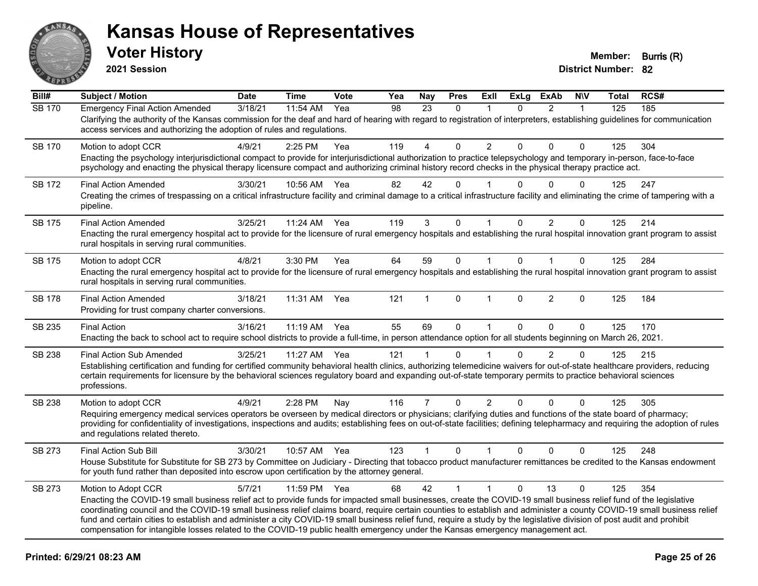

**2021 Session**

| Bill#         | <b>Subject / Motion</b>                                                                                                                                                                                                                                                                                                                                                                                                                                                                                                                                                                                                                                                       | <b>Date</b> | <b>Time</b> | Vote | Yea | Nay            | <b>Pres</b>  | ExII           | <b>ExLg</b>  | <b>ExAb</b>    | <b>N\V</b>   | Total | RCS# |
|---------------|-------------------------------------------------------------------------------------------------------------------------------------------------------------------------------------------------------------------------------------------------------------------------------------------------------------------------------------------------------------------------------------------------------------------------------------------------------------------------------------------------------------------------------------------------------------------------------------------------------------------------------------------------------------------------------|-------------|-------------|------|-----|----------------|--------------|----------------|--------------|----------------|--------------|-------|------|
| <b>SB 170</b> | <b>Emergency Final Action Amended</b><br>Clarifying the authority of the Kansas commission for the deaf and hard of hearing with regard to registration of interpreters, establishing guidelines for communication<br>access services and authorizing the adoption of rules and regulations.                                                                                                                                                                                                                                                                                                                                                                                  | 3/18/21     | 11:54 AM    | Yea  | 98  | 23             | $\mathbf{0}$ |                | $\Omega$     | $\overline{2}$ | $\mathbf{1}$ | 125   | 185  |
| SB 170        | Motion to adopt CCR<br>Enacting the psychology interjurisdictional compact to provide for interjurisdictional authorization to practice telepsychology and temporary in-person, face-to-face<br>psychology and enacting the physical therapy licensure compact and authorizing criminal history record checks in the physical therapy practice act.                                                                                                                                                                                                                                                                                                                           | 4/9/21      | $2:25$ PM   | Yea  | 119 | 4              | $\Omega$     | $\overline{2}$ | $\Omega$     | $\Omega$       | $\Omega$     | 125   | 304  |
| SB 172        | <b>Final Action Amended</b><br>Creating the crimes of trespassing on a critical infrastructure facility and criminal damage to a critical infrastructure facility and eliminating the crime of tampering with a<br>pipeline.                                                                                                                                                                                                                                                                                                                                                                                                                                                  | 3/30/21     | 10:56 AM    | Yea  | 82  | 42             | $\Omega$     |                | 0            | $\Omega$       | $\Omega$     | 125   | 247  |
| <b>SB 175</b> | <b>Final Action Amended</b><br>Enacting the rural emergency hospital act to provide for the licensure of rural emergency hospitals and establishing the rural hospital innovation grant program to assist<br>rural hospitals in serving rural communities.                                                                                                                                                                                                                                                                                                                                                                                                                    | 3/25/21     | 11:24 AM    | Yea  | 119 | 3              | 0            |                | $\Omega$     | $\overline{2}$ | $\Omega$     | 125   | 214  |
| <b>SB 175</b> | Motion to adopt CCR<br>Enacting the rural emergency hospital act to provide for the licensure of rural emergency hospitals and establishing the rural hospital innovation grant program to assist<br>rural hospitals in serving rural communities.                                                                                                                                                                                                                                                                                                                                                                                                                            | 4/8/21      | 3:30 PM     | Yea  | 64  | 59             | $\mathbf 0$  | $\mathbf{1}$   | $\Omega$     | $\mathbf{1}$   | $\mathbf 0$  | 125   | 284  |
| SB 178        | <b>Final Action Amended</b><br>Providing for trust company charter conversions.                                                                                                                                                                                                                                                                                                                                                                                                                                                                                                                                                                                               | 3/18/21     | 11:31 AM    | Yea  | 121 | 1              | $\Omega$     | $\mathbf{1}$   | $\Omega$     | $\overline{2}$ | $\Omega$     | 125   | 184  |
| SB 235        | <b>Final Action</b><br>Enacting the back to school act to require school districts to provide a full-time, in person attendance option for all students beginning on March 26, 2021.                                                                                                                                                                                                                                                                                                                                                                                                                                                                                          | 3/16/21     | $11:19$ AM  | Yea  | 55  | 69             | 0            | $\mathbf{1}$   | $\Omega$     | $\Omega$       | $\Omega$     | 125   | 170  |
| SB 238        | <b>Final Action Sub Amended</b><br>Establishing certification and funding for certified community behavioral health clinics, authorizing telemedicine waivers for out-of-state healthcare providers, reducing<br>certain requirements for licensure by the behavioral sciences regulatory board and expanding out-of-state temporary permits to practice behavioral sciences<br>professions.                                                                                                                                                                                                                                                                                  | 3/25/21     | 11:27 AM    | Yea  | 121 | 1              | $\Omega$     |                | 0            | $\overline{2}$ | $\Omega$     | 125   | 215  |
| SB 238        | Motion to adopt CCR<br>Requiring emergency medical services operators be overseen by medical directors or physicians; clarifying duties and functions of the state board of pharmacy;<br>providing for confidentiality of investigations, inspections and audits; establishing fees on out-of-state facilities; defining telepharmacy and requiring the adoption of rules<br>and regulations related thereto.                                                                                                                                                                                                                                                                 | 4/9/21      | 2:28 PM     | Nay  | 116 | $\overline{7}$ | 0            | $\overline{2}$ | $\Omega$     | 0              | $\Omega$     | 125   | 305  |
| SB 273        | <b>Final Action Sub Bill</b><br>House Substitute for Substitute for SB 273 by Committee on Judiciary - Directing that tobacco product manufacturer remittances be credited to the Kansas endowment<br>for youth fund rather than deposited into escrow upon certification by the attorney general.                                                                                                                                                                                                                                                                                                                                                                            | 3/30/21     | 10:57 AM    | Yea  | 123 | $\mathbf{1}$   | $\mathbf{0}$ | $\mathbf 1$    | $\mathbf{0}$ | $\Omega$       | $\Omega$     | 125   | 248  |
| SB 273        | Motion to Adopt CCR<br>Enacting the COVID-19 small business relief act to provide funds for impacted small businesses, create the COVID-19 small business relief fund of the legislative<br>coordinating council and the COVID-19 small business relief claims board, require certain counties to establish and administer a county COVID-19 small business relief<br>fund and certain cities to establish and administer a city COVID-19 small business relief fund, require a study by the legislative division of post audit and prohibit<br>compensation for intangible losses related to the COVID-19 public health emergency under the Kansas emergency management act. | 5/7/21      | 11:59 PM    | Yea  | 68  | 42             | $\mathbf{1}$ | $\mathbf{1}$   | $\Omega$     | 13             | $\Omega$     | 125   | 354  |